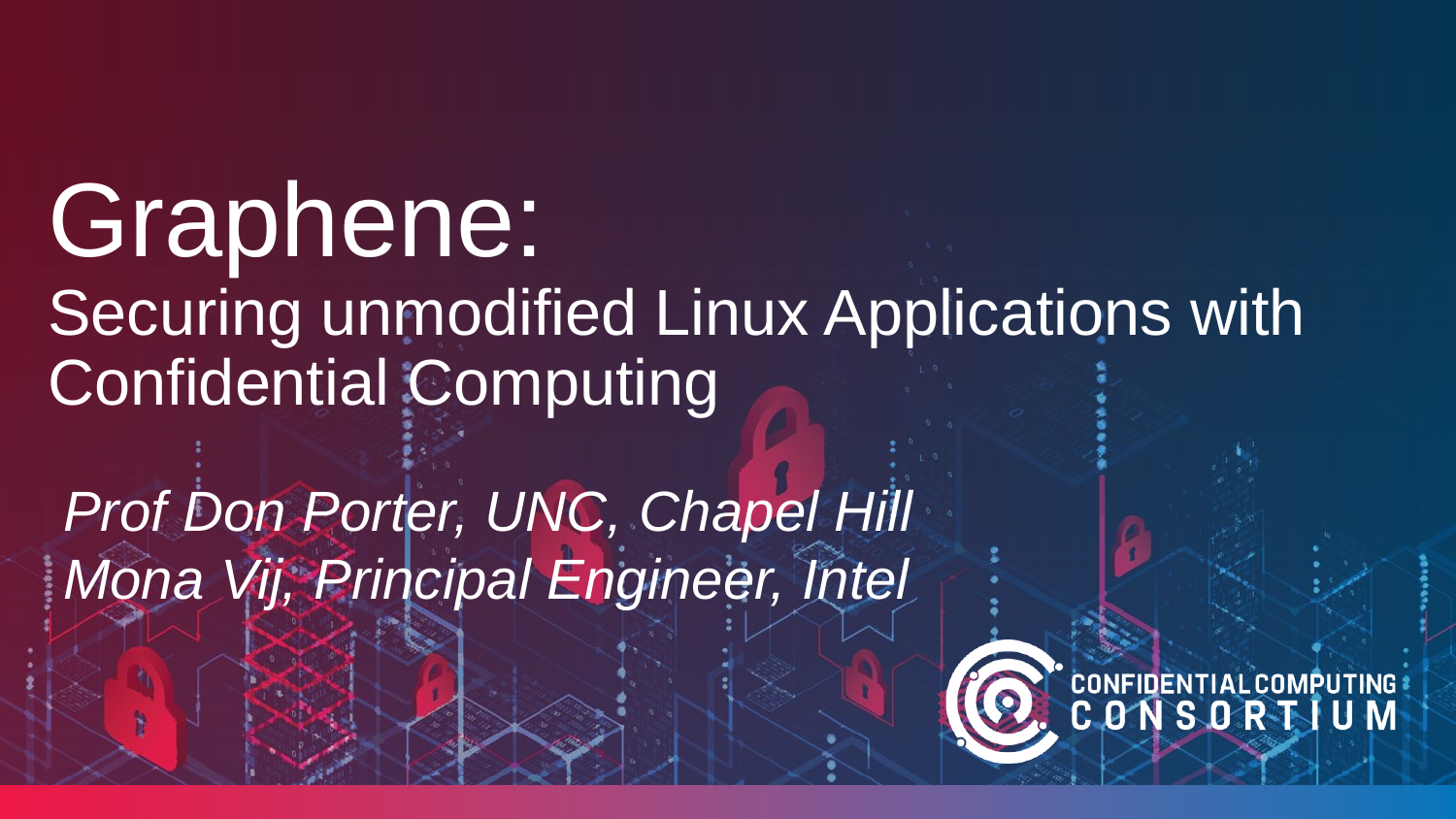Graphene: Securing unmodified Linux Applications with Confidential Computing

*Prof Don Porter, UNC, Chapel Hill Mona Vij, Principal Engineer, Intel*

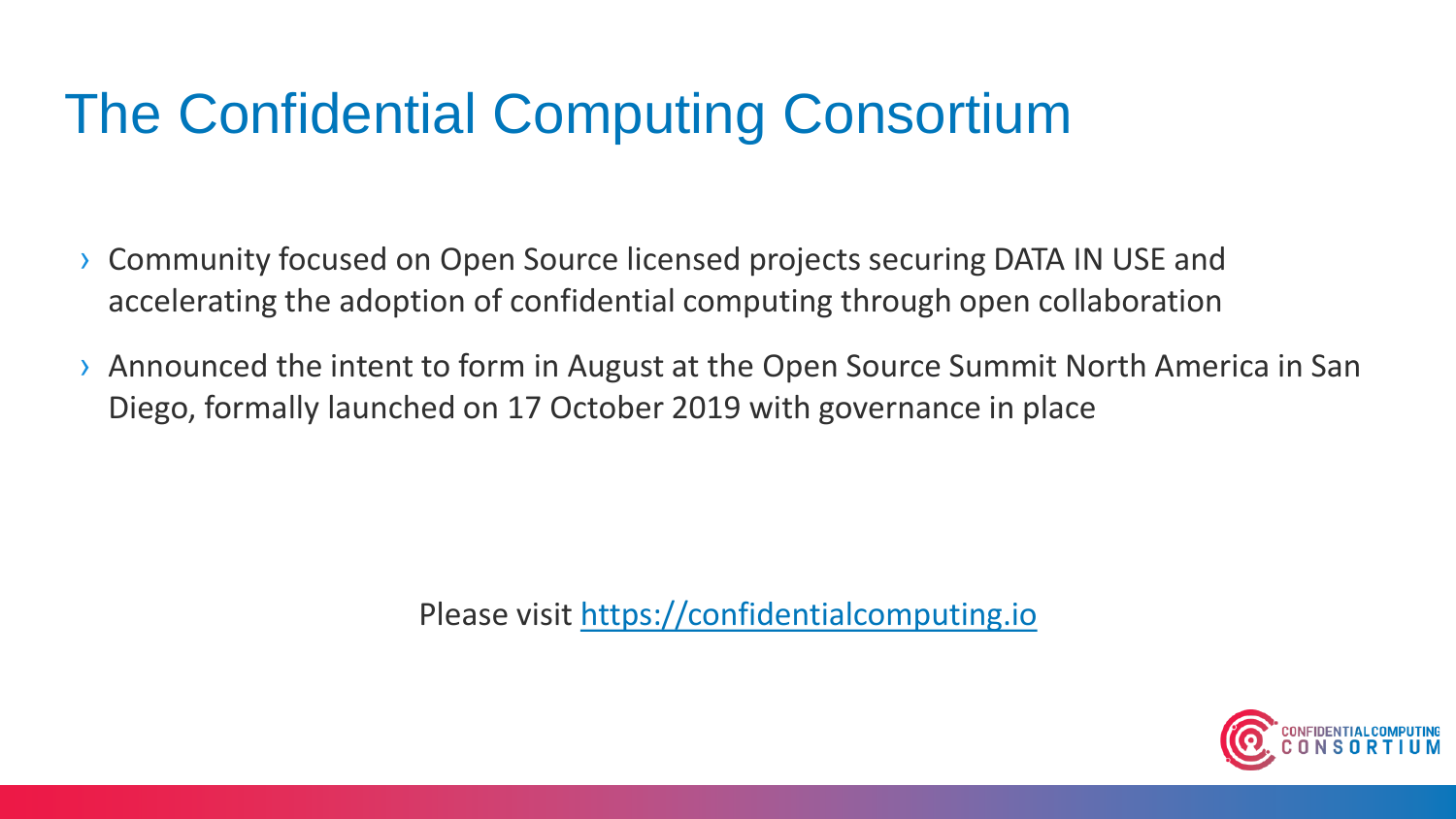### The Confidential Computing Consortium

- › Community focused on Open Source licensed projects securing DATA IN USE and accelerating the adoption of confidential computing through open collaboration
- › Announced the intent to form in August at the Open Source Summit North America in San Diego, formally launched on 17 October 2019 with governance in place

Please visit [https://confidentialcomputing.io](https://confidentialcomputing.io/)

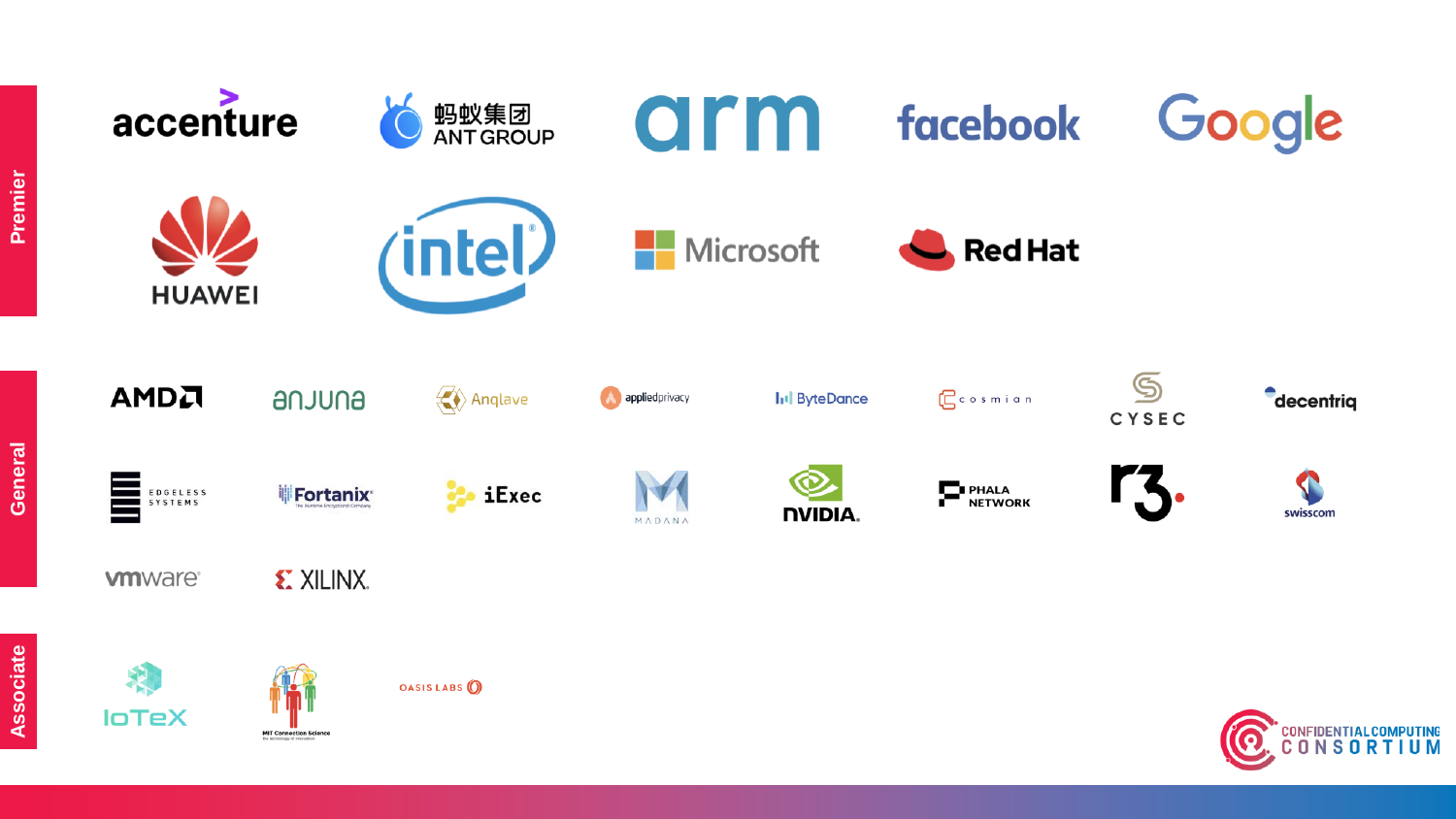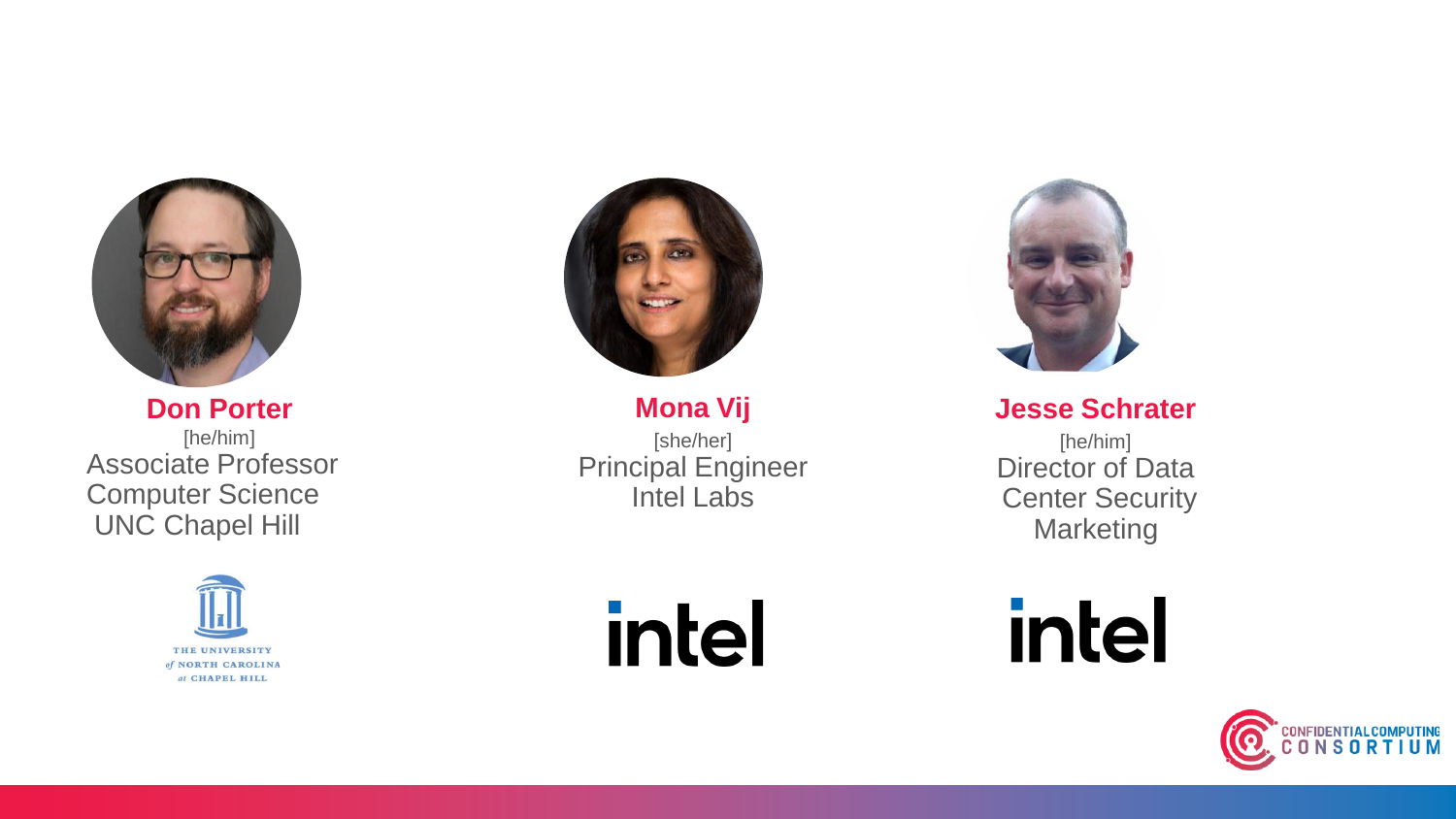

**Don Porter** [he/him] Associate Professor Computer Science UNC Chapel Hill





**Mona Vij** [she/her] Principal Engineer Intel Labs

intel



**Jesse Schrater**

[he/him] Director of Data Center Security **Marketing** 

intel

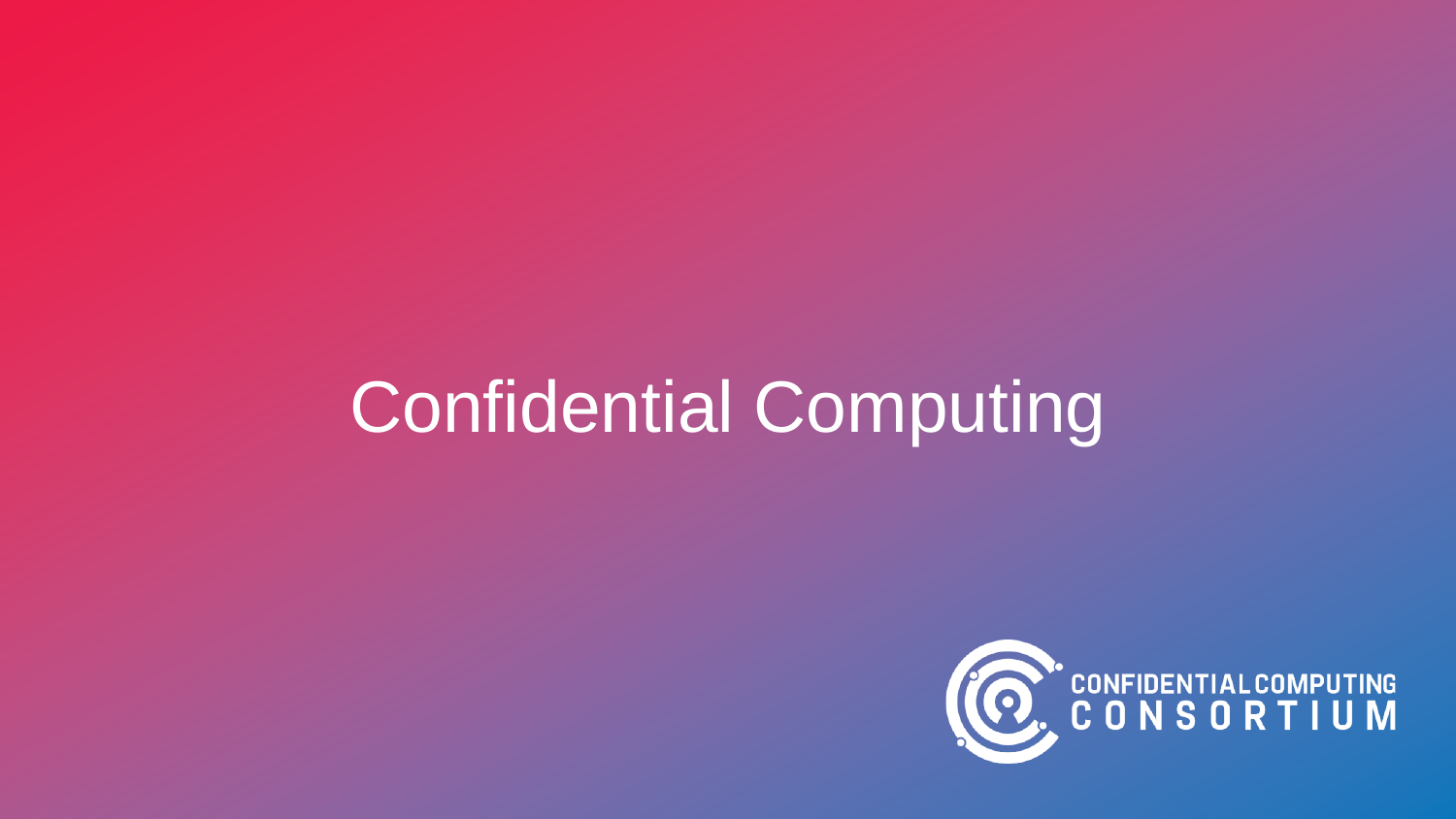# Confidential Computing

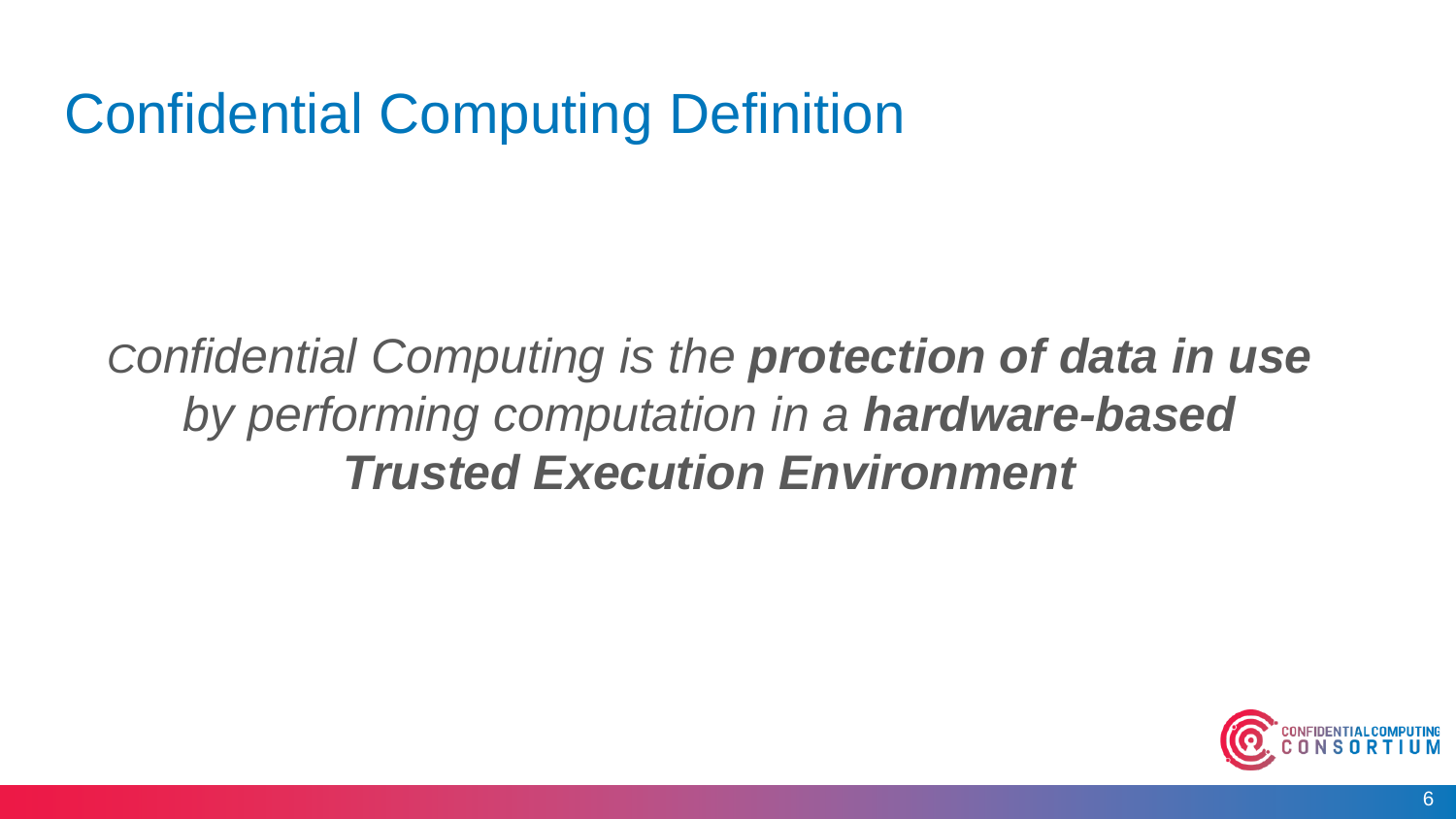### Confidential Computing Definition

*Confidential Computing is the protection of data in use by performing computation in a hardware-based Trusted Execution Environment* 

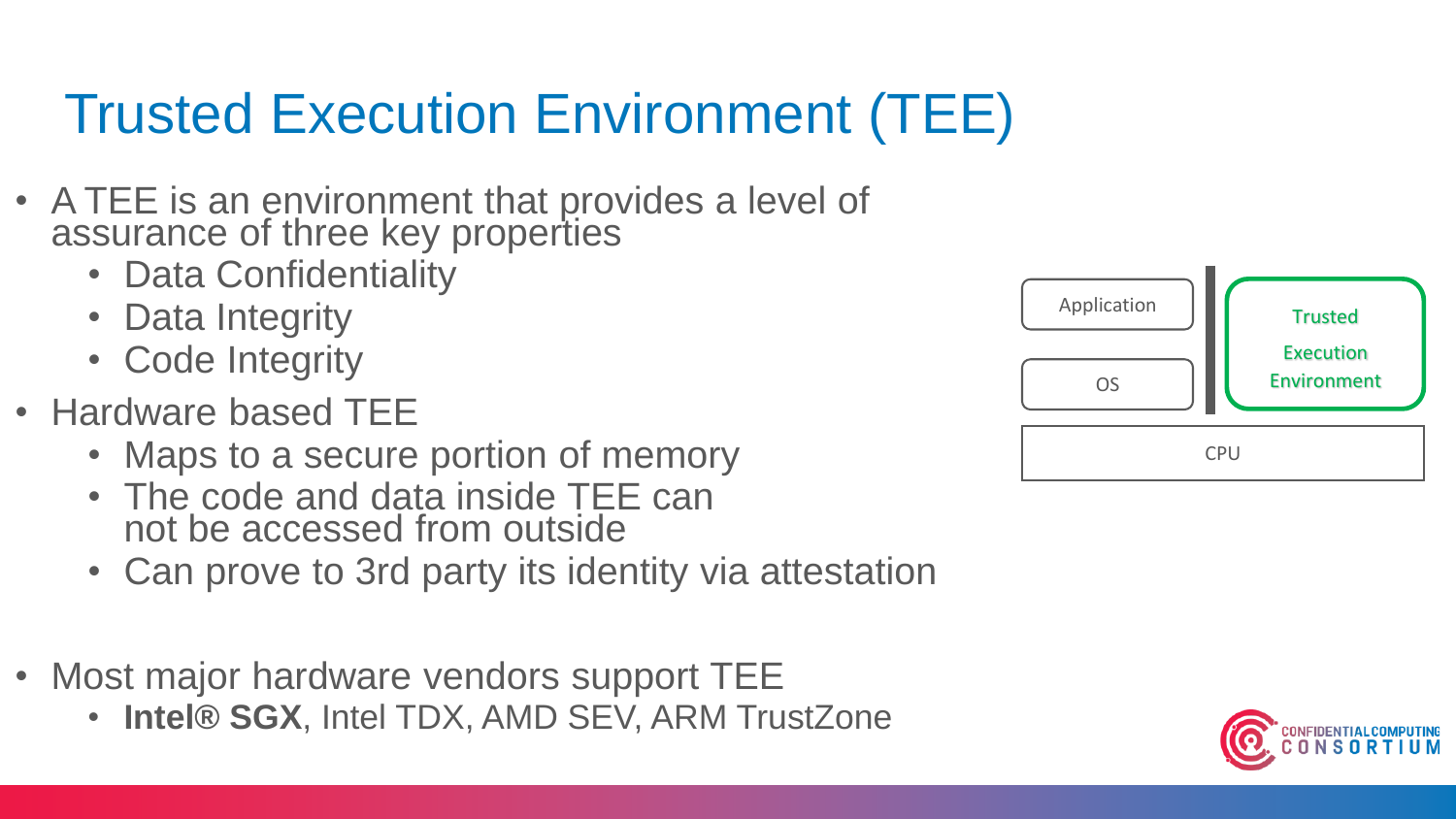# Trusted Execution Environment (TEE)

- A TEE is an environment that provides a level of assurance of three key properties
	- Data Confidentiality
	- Data Integrity
	- Code Integrity
- Hardware based TEE
	- Maps to a secure portion of memory
	- The code and data inside TEE can not be accessed from outside
	- Can prove to 3rd party its identity via attestation
- Most major hardware vendors support TEE
	- **Intel® SGX**, Intel TDX, AMD SEV, ARM TrustZone



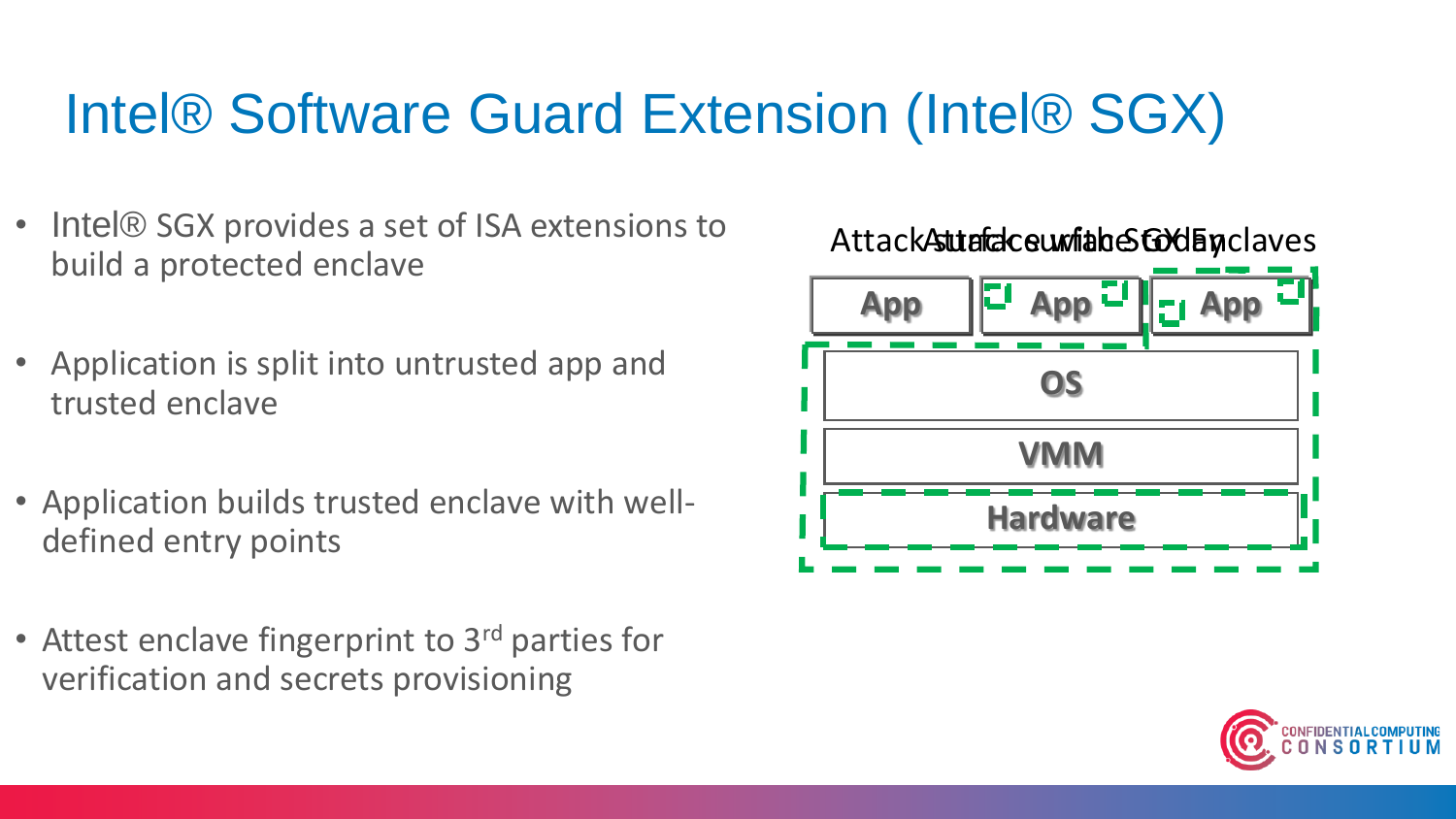#### Intel® Software Guard Extension (Intel® SGX)

- Intel® SGX provides a set of ISA extensions to build a protected enclave
- Application is split into untrusted app and trusted enclave
- Application builds trusted enclave with welldefined entry points
- Attest enclave fingerprint to 3<sup>rd</sup> parties for verification and secrets provisioning



Attack **Attack surface with a conduct SGX Enclaves** 

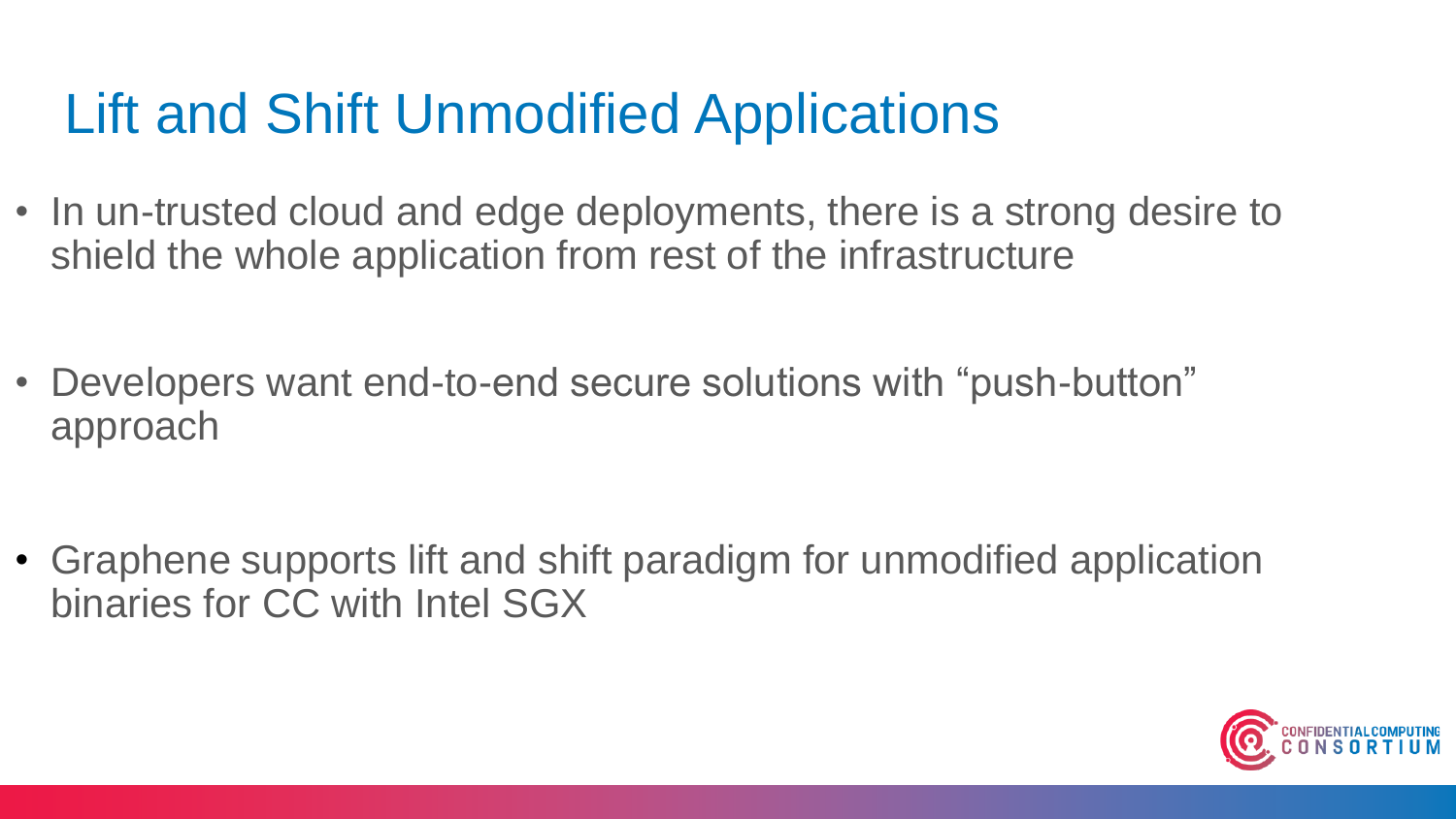### Lift and Shift Unmodified Applications

- In un-trusted cloud and edge deployments, there is a strong desire to shield the whole application from rest of the infrastructure
- Developers want end-to-end secure solutions with "push-button" approach

• Graphene supports lift and shift paradigm for unmodified application binaries for CC with Intel SGX

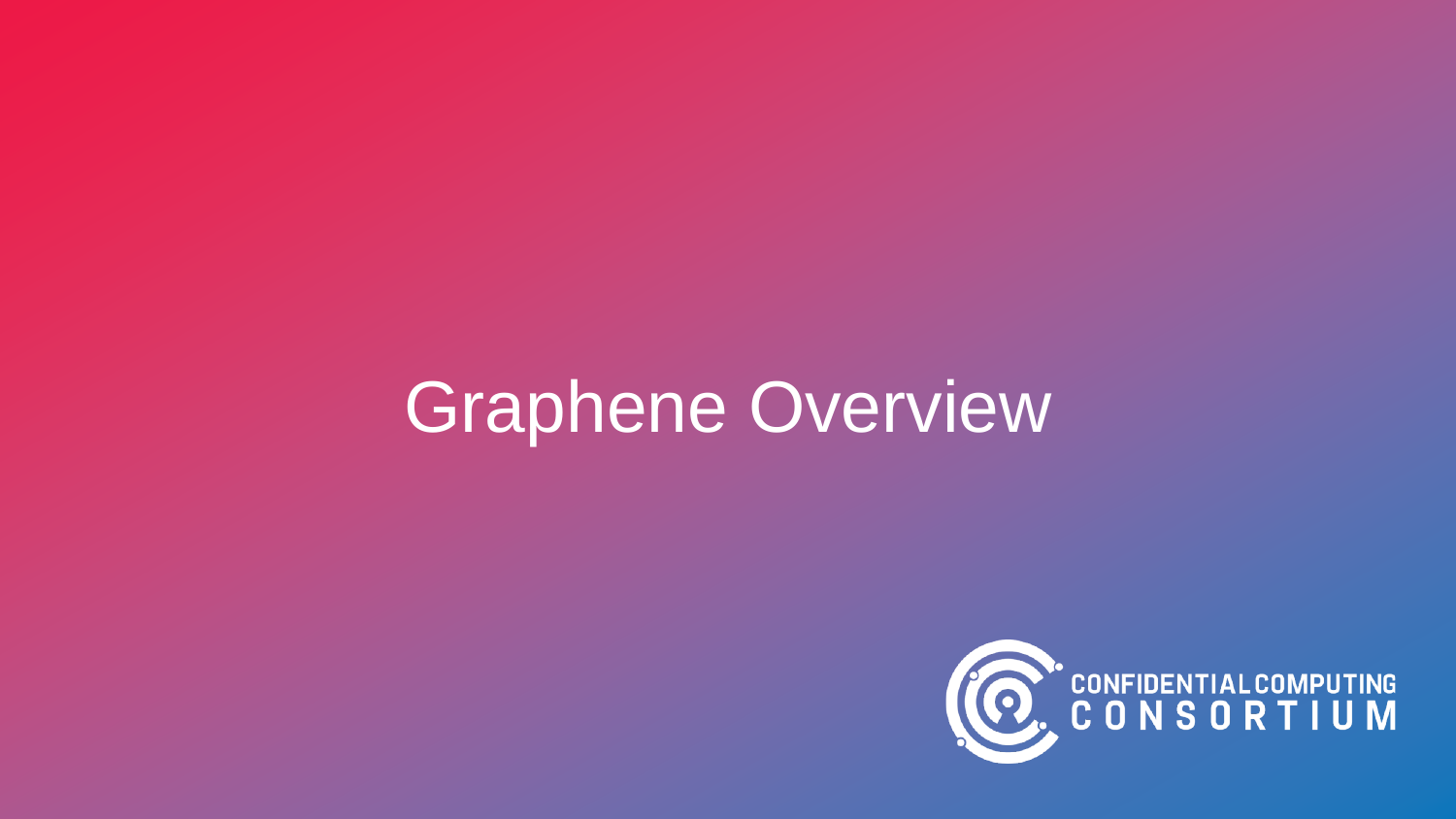# Graphene Overview

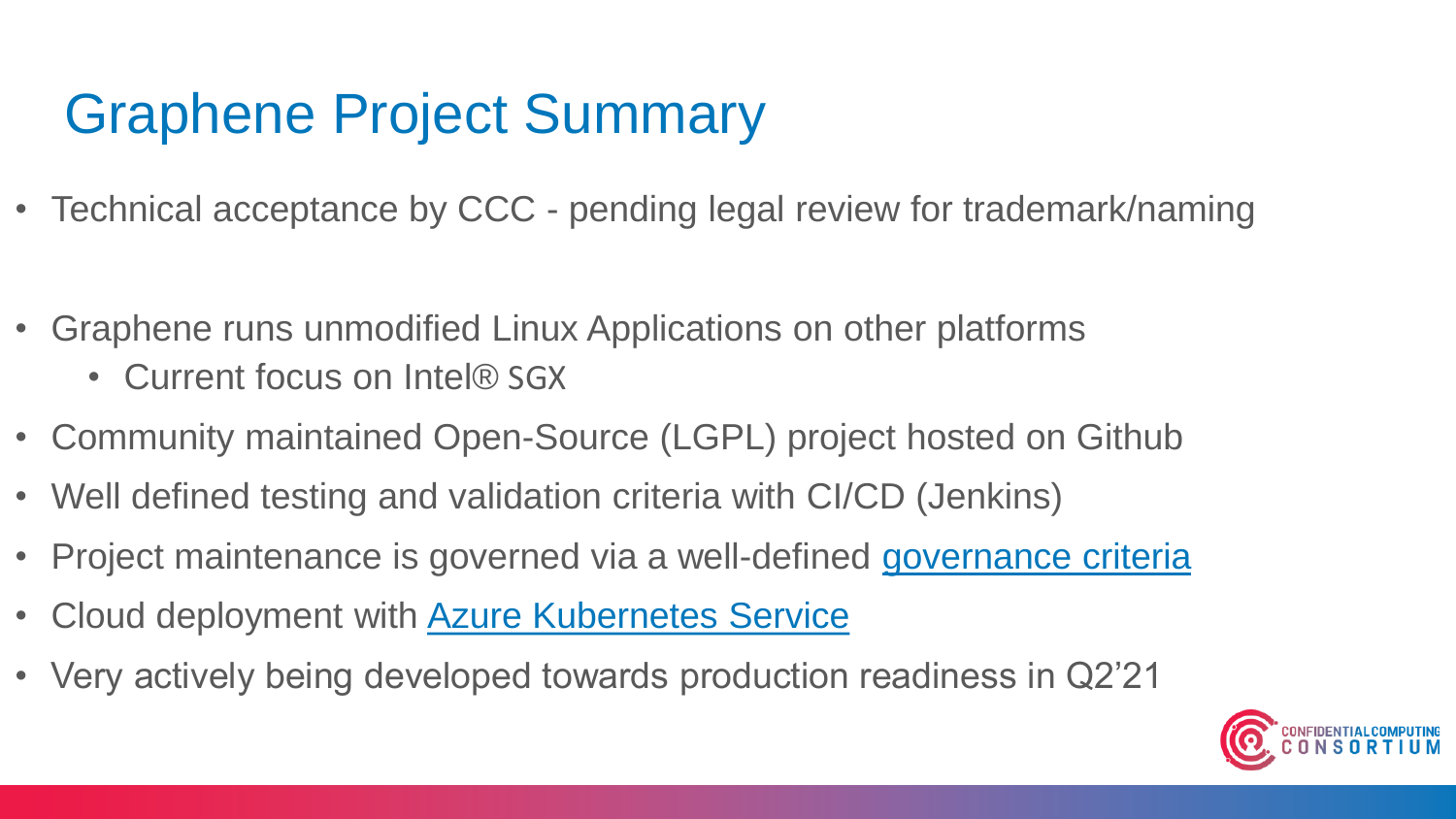### Graphene Project Summary

- Technical acceptance by CCC pending legal review for trademark/naming
- Graphene runs unmodified Linux Applications on other platforms
	- Current focus on Intel® SGX
- Community maintained Open-Source (LGPL) project hosted on Github
- Well defined testing and validation criteria with CI/CD (Jenkins)
- Project maintenance is governed via a well-defined [governance criteria](https://github.com/oscarlab/graphene/blob/master/CONTRIBUTING.md)
- Cloud deployment with [Azure Kubernetes Service](https://docs.microsoft.com/en-us/azure/confidential-computing/confidential-containers)
- Very actively being developed towards production readiness in Q2'21

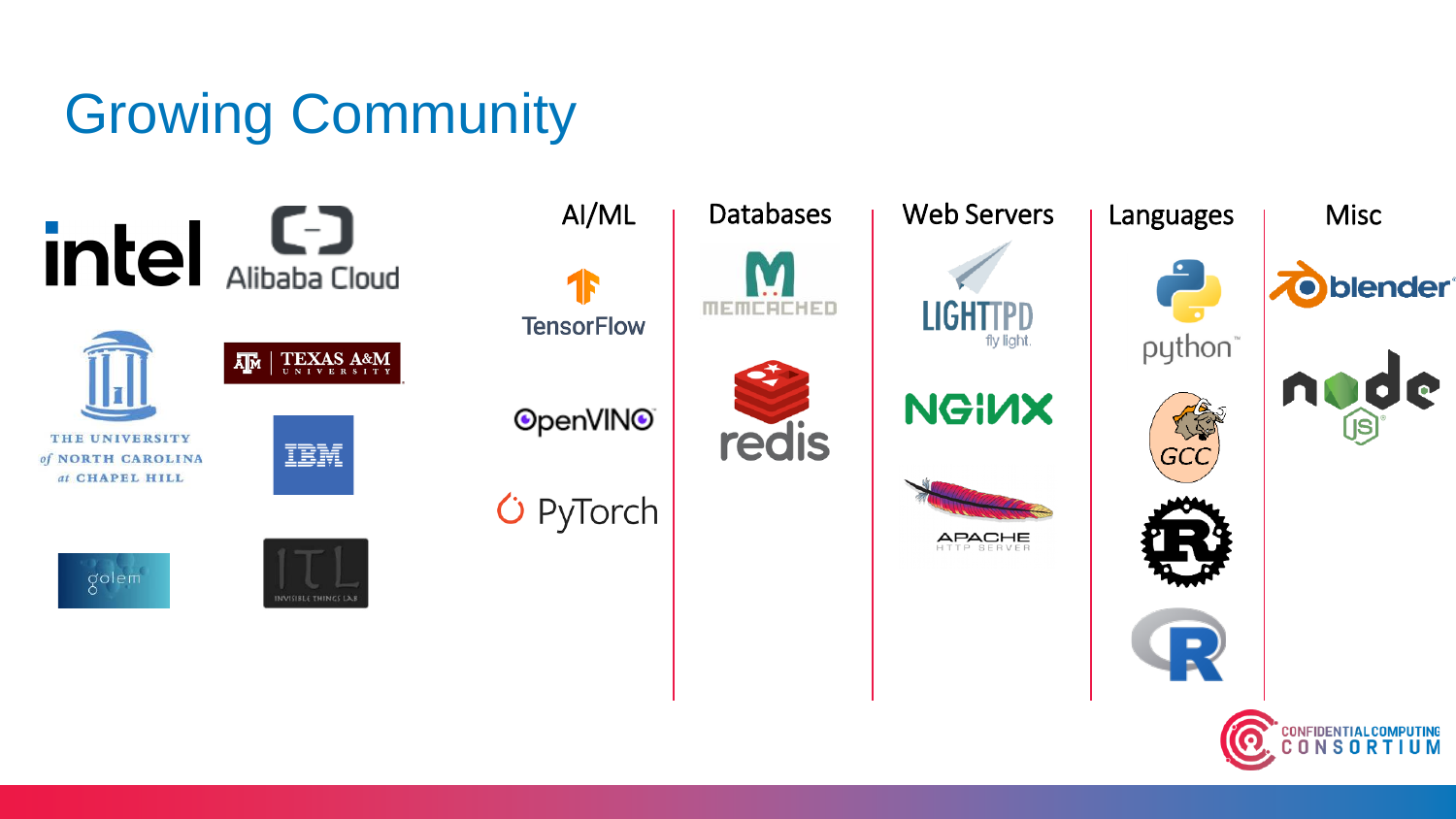## Growing Community

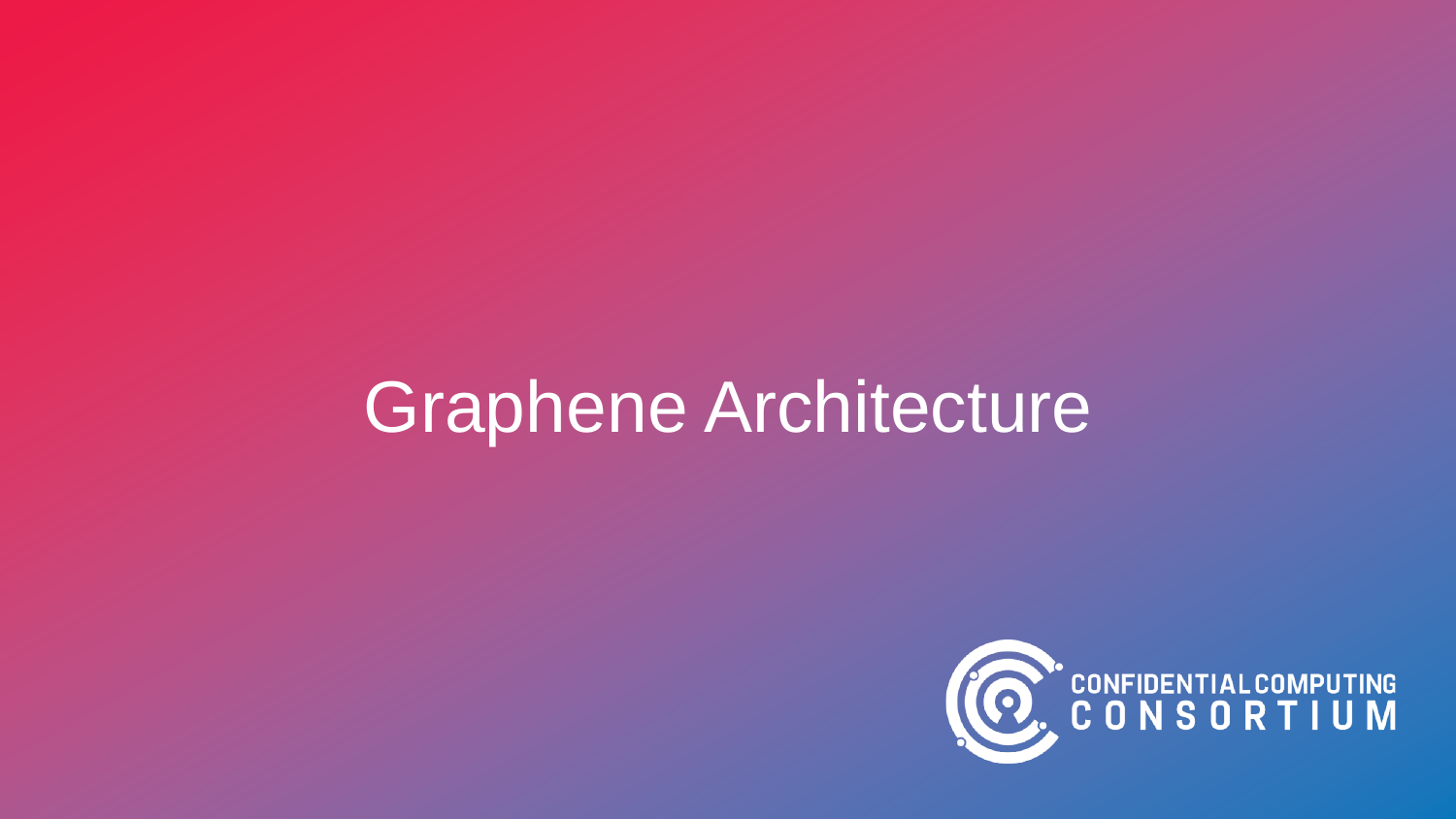# Graphene Architecture

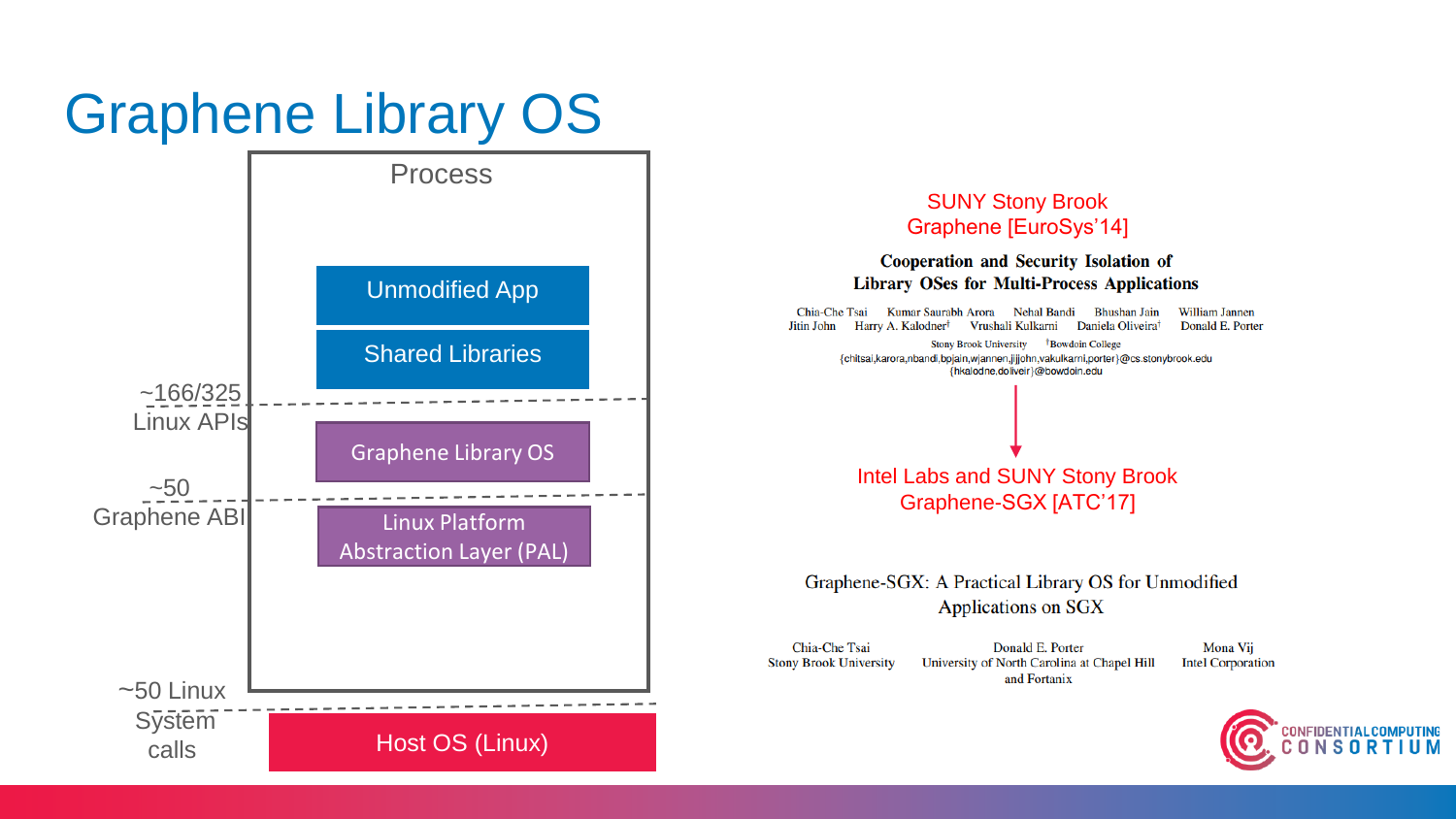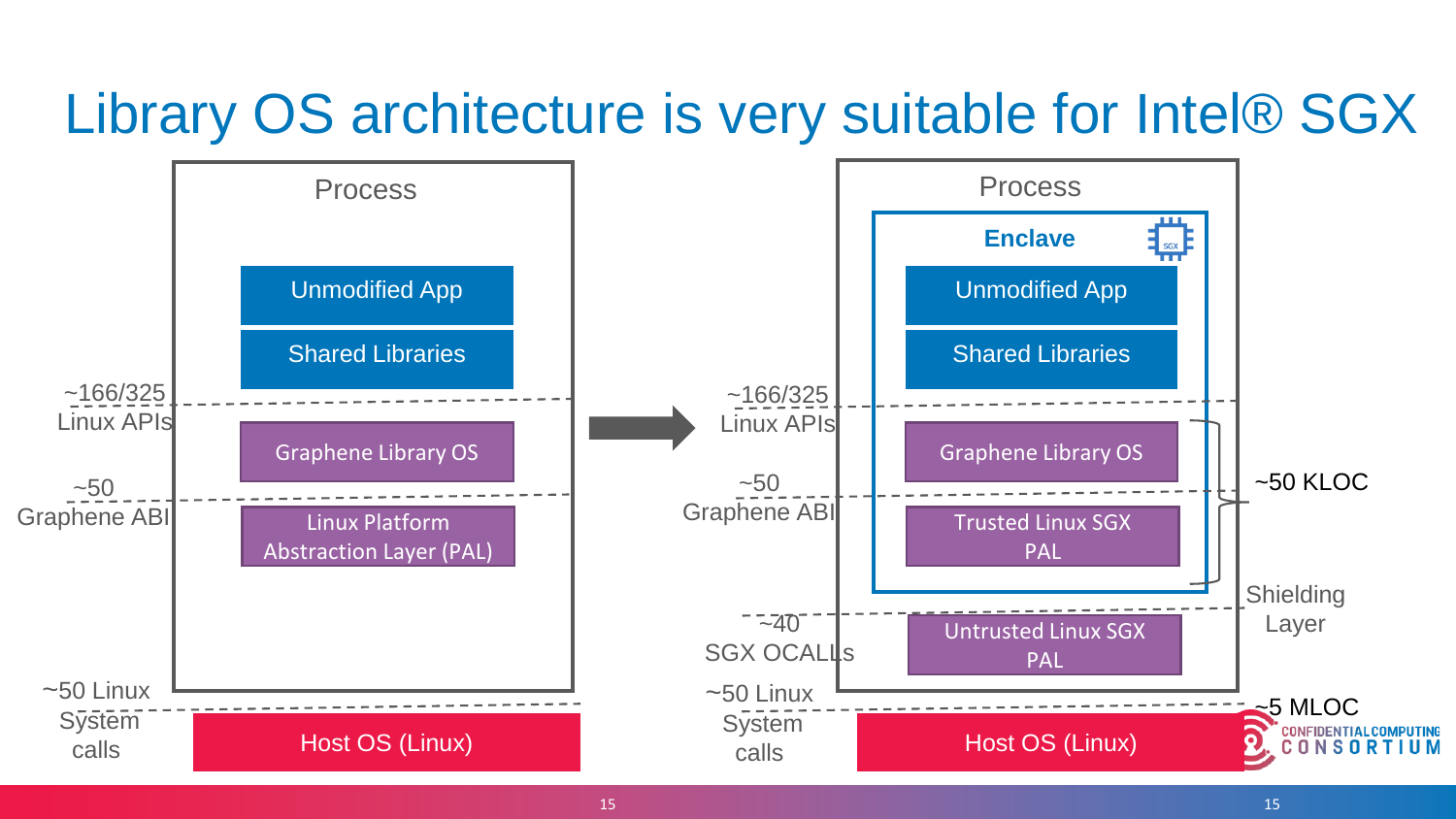#### Library OS architecture is very suitable for Intel® SGX

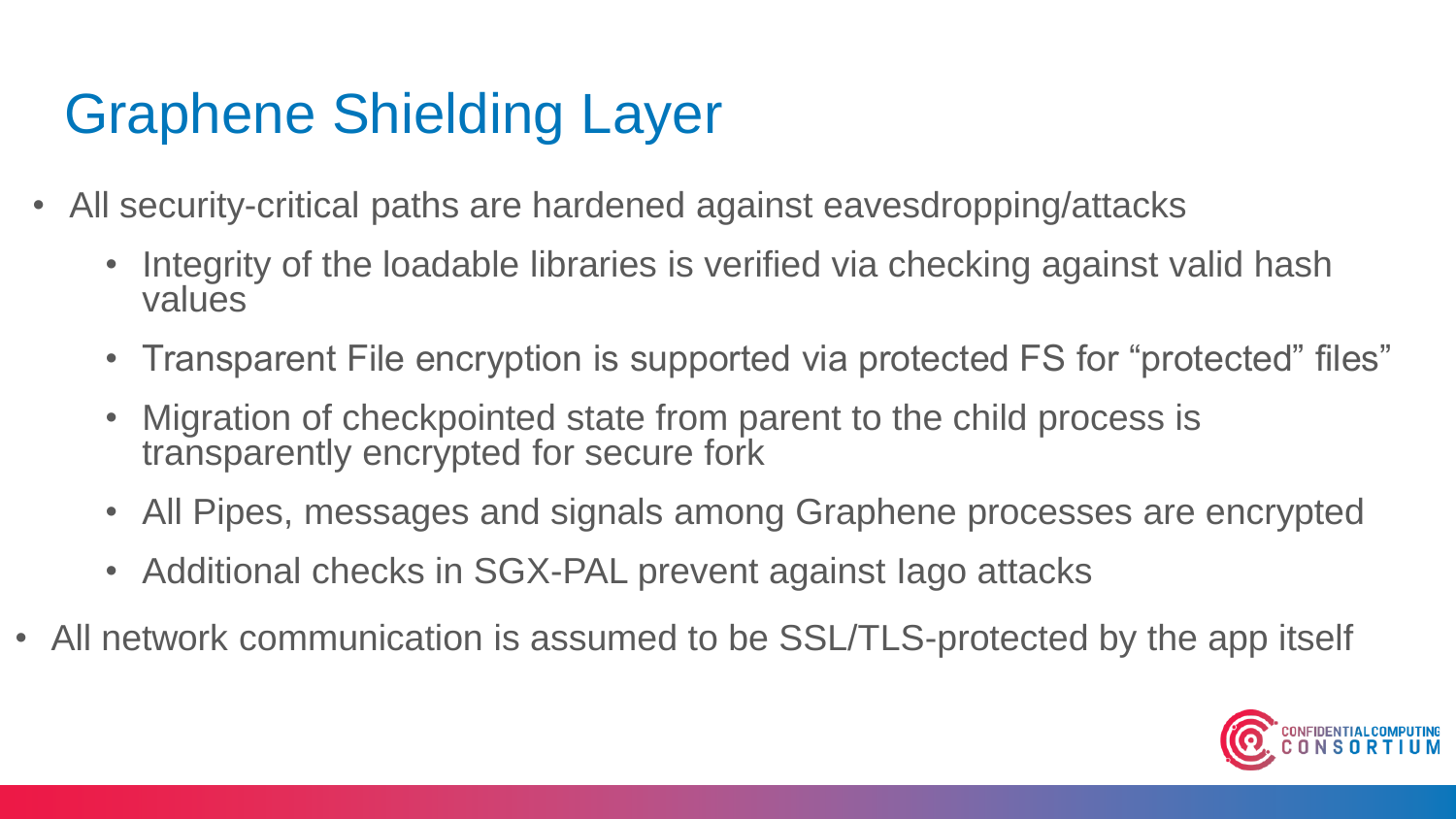## Graphene Shielding Layer

- All security-critical paths are hardened against eavesdropping/attacks
	- Integrity of the loadable libraries is verified via checking against valid hash values
	- Transparent File encryption is supported via protected FS for "protected" files"
	- Migration of checkpointed state from parent to the child process is transparently encrypted for secure fork
	- All Pipes, messages and signals among Graphene processes are encrypted
	- Additional checks in SGX-PAL prevent against Iago attacks
- All network communication is assumed to be SSL/TLS-protected by the app itself

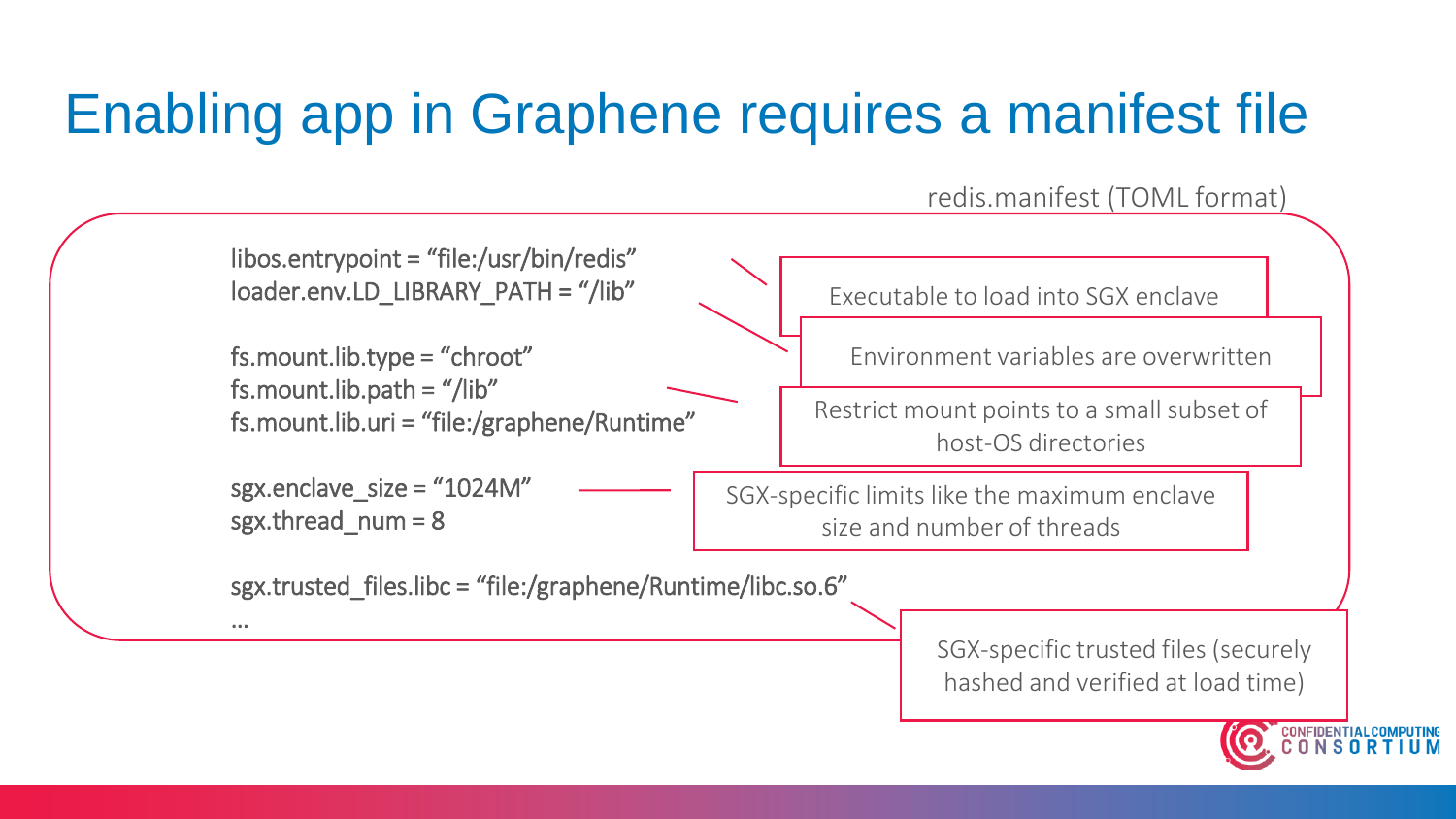## Enabling app in Graphene requires a manifest file

redis.manifest (TOML format)



hashed and verified at load time)

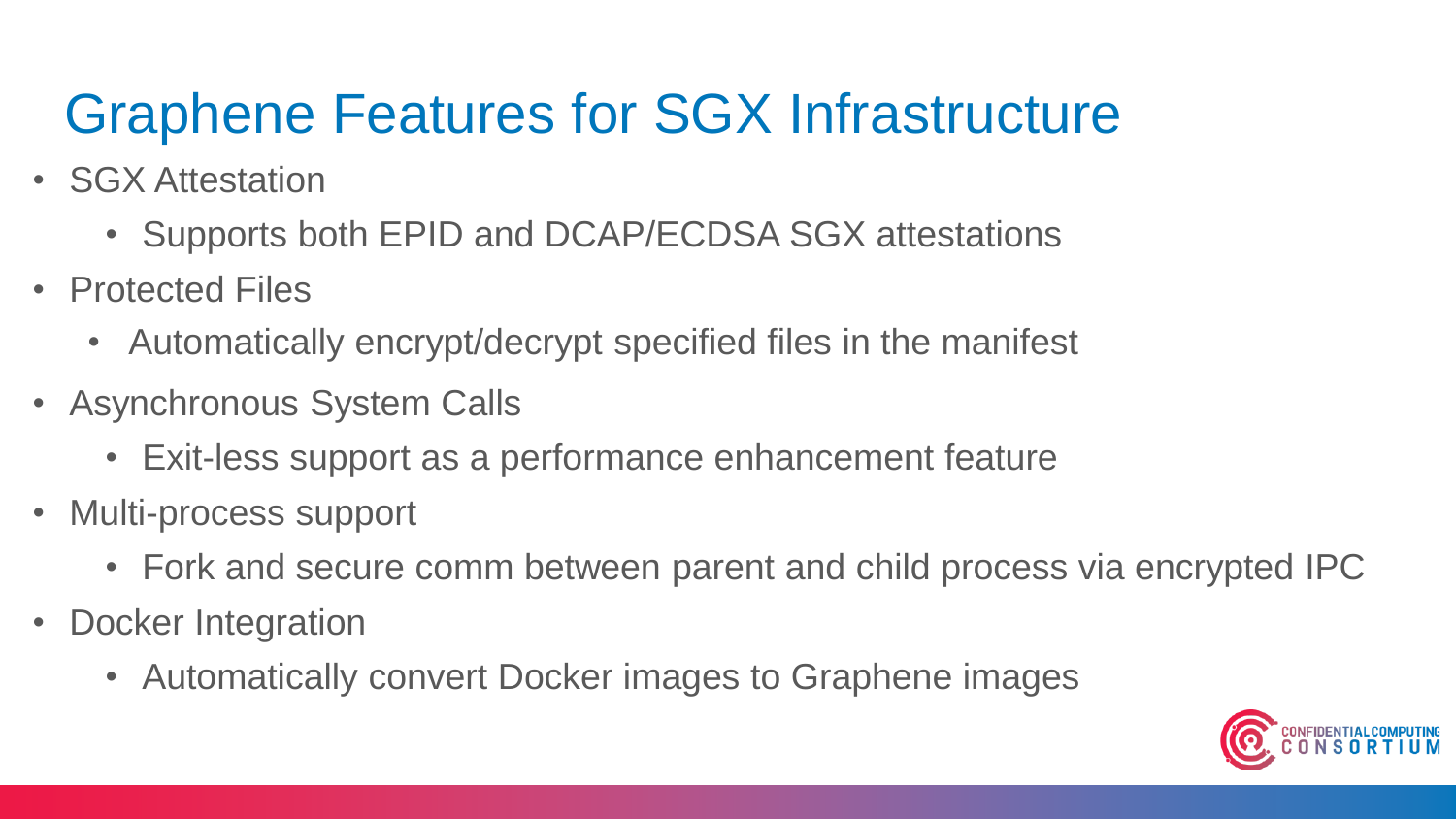#### Graphene Features for SGX Infrastructure

- SGX Attestation
	- Supports both EPID and DCAP/ECDSA SGX attestations
- Protected Files
	- Automatically encrypt/decrypt specified files in the manifest
- Asynchronous System Calls
	- Exit-less support as a performance enhancement feature
- Multi-process support
	- Fork and secure comm between parent and child process via encrypted IPC
- Docker Integration
	- Automatically convert Docker images to Graphene images

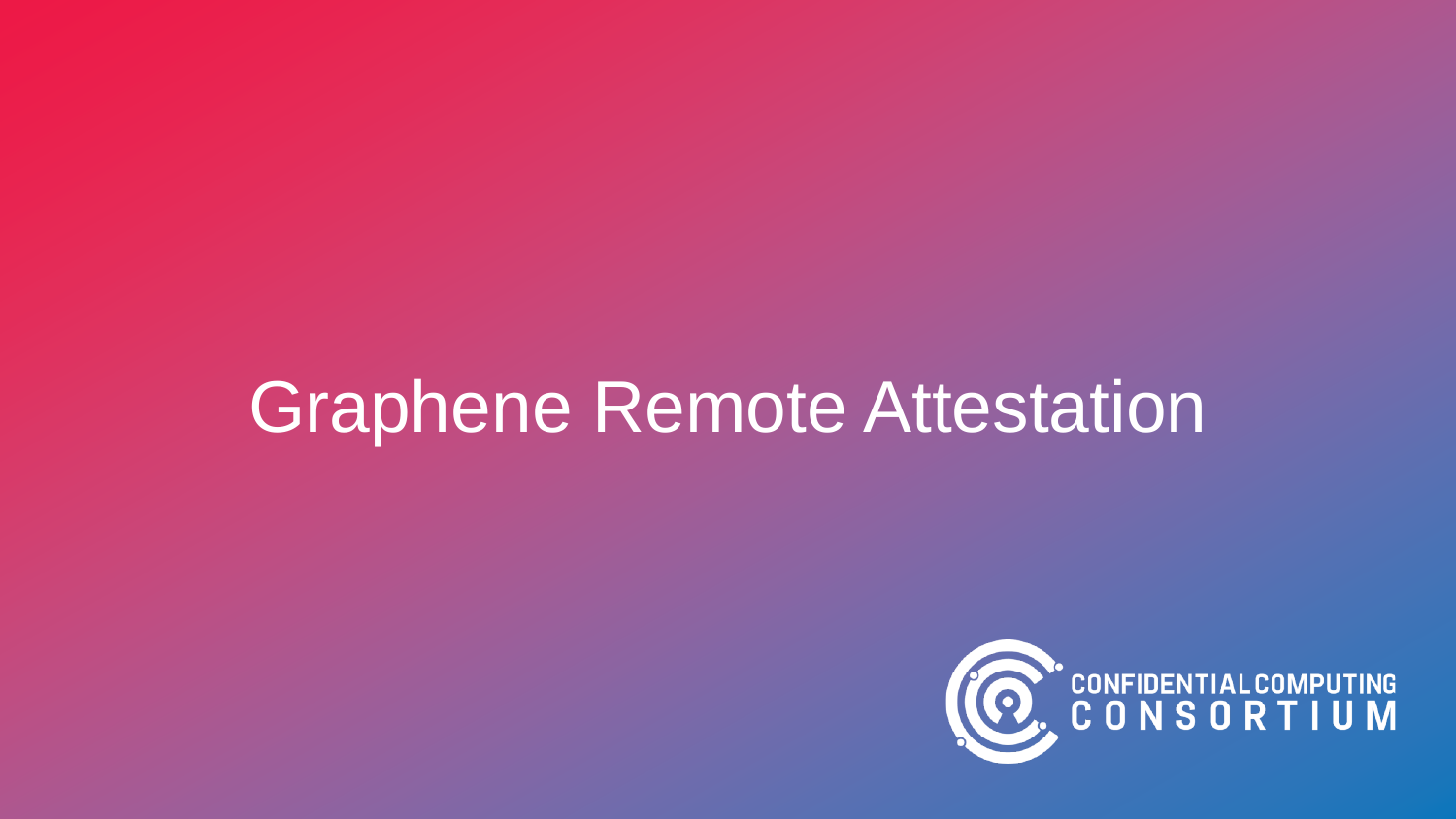# Graphene Remote Attestation

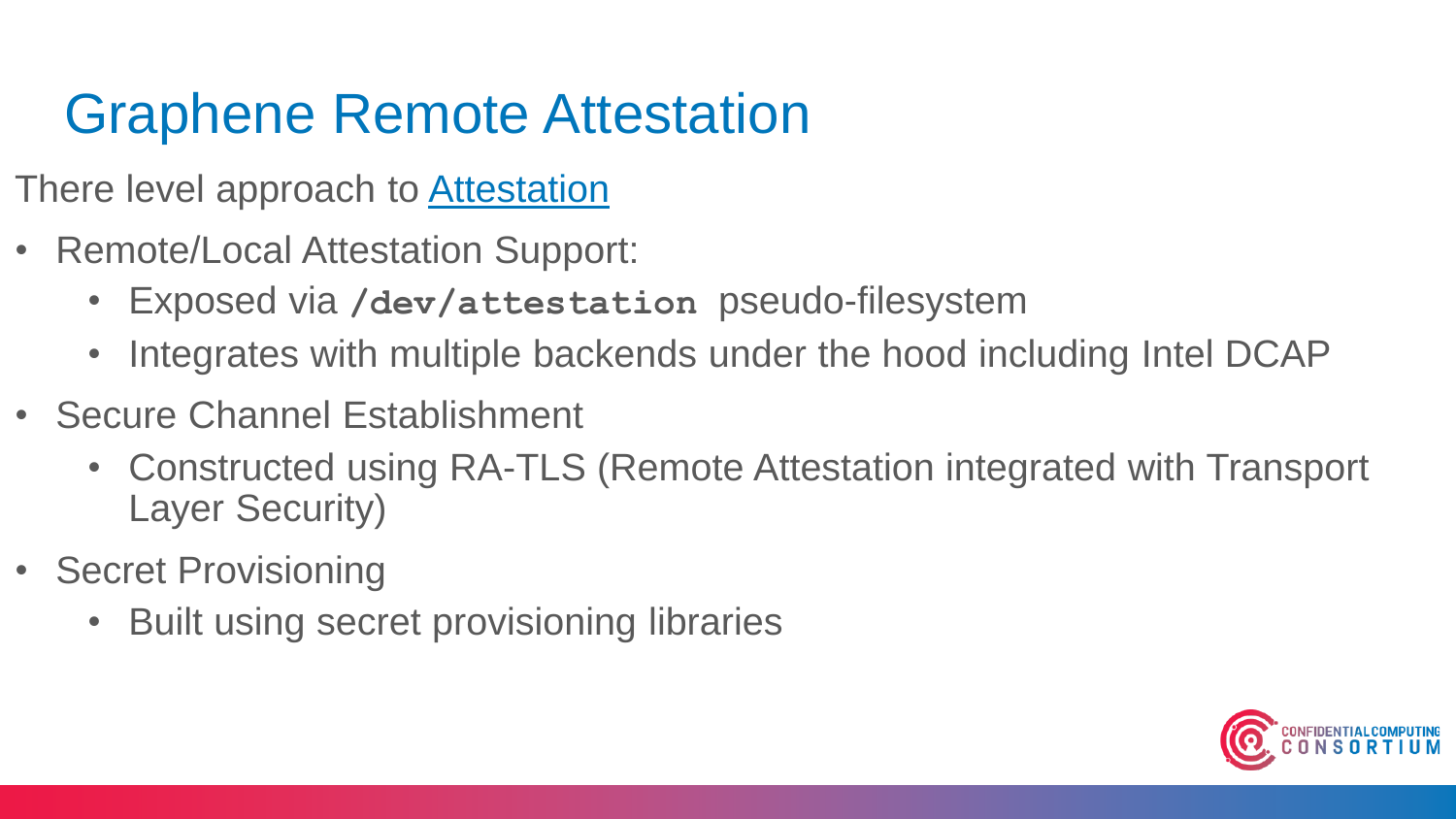### Graphene Remote Attestation

- There level approach to [Attestation](https://graphene.readthedocs.io/en/latest/attestation.html)
- Remote/Local Attestation Support:
	- Exposed via **/dev/attestation** pseudo-filesystem
	- Integrates with multiple backends under the hood including Intel DCAP
- Secure Channel Establishment
	- Constructed using RA-TLS (Remote Attestation integrated with Transport Layer Security)
- Secret Provisioning
	- Built using secret provisioning libraries

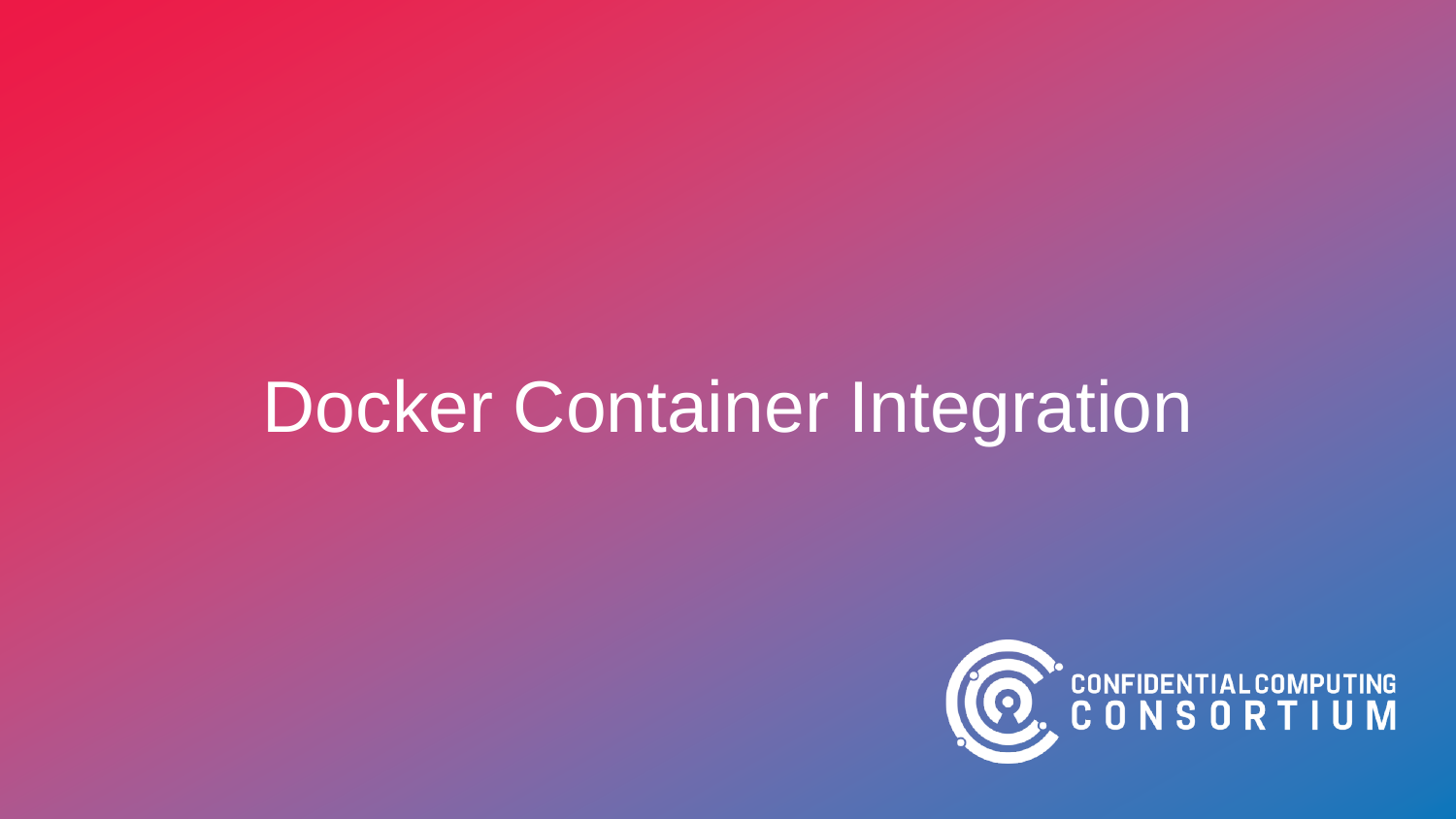# Docker Container Integration

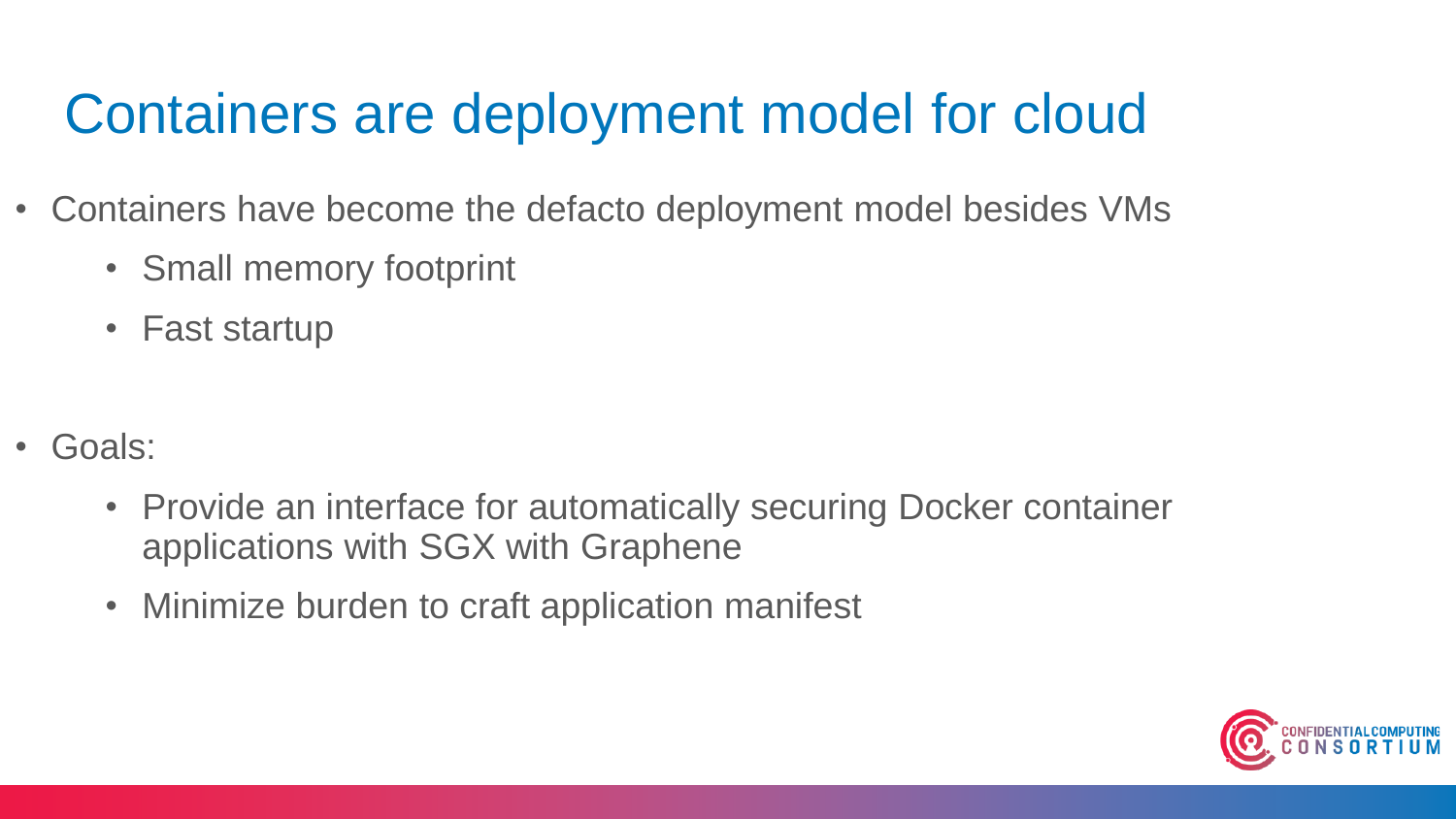#### Containers are deployment model for cloud

- Containers have become the defacto deployment model besides VMs
	- Small memory footprint
	- Fast startup
- Goals:
	- Provide an interface for automatically securing Docker container applications with SGX with Graphene
	- Minimize burden to craft application manifest

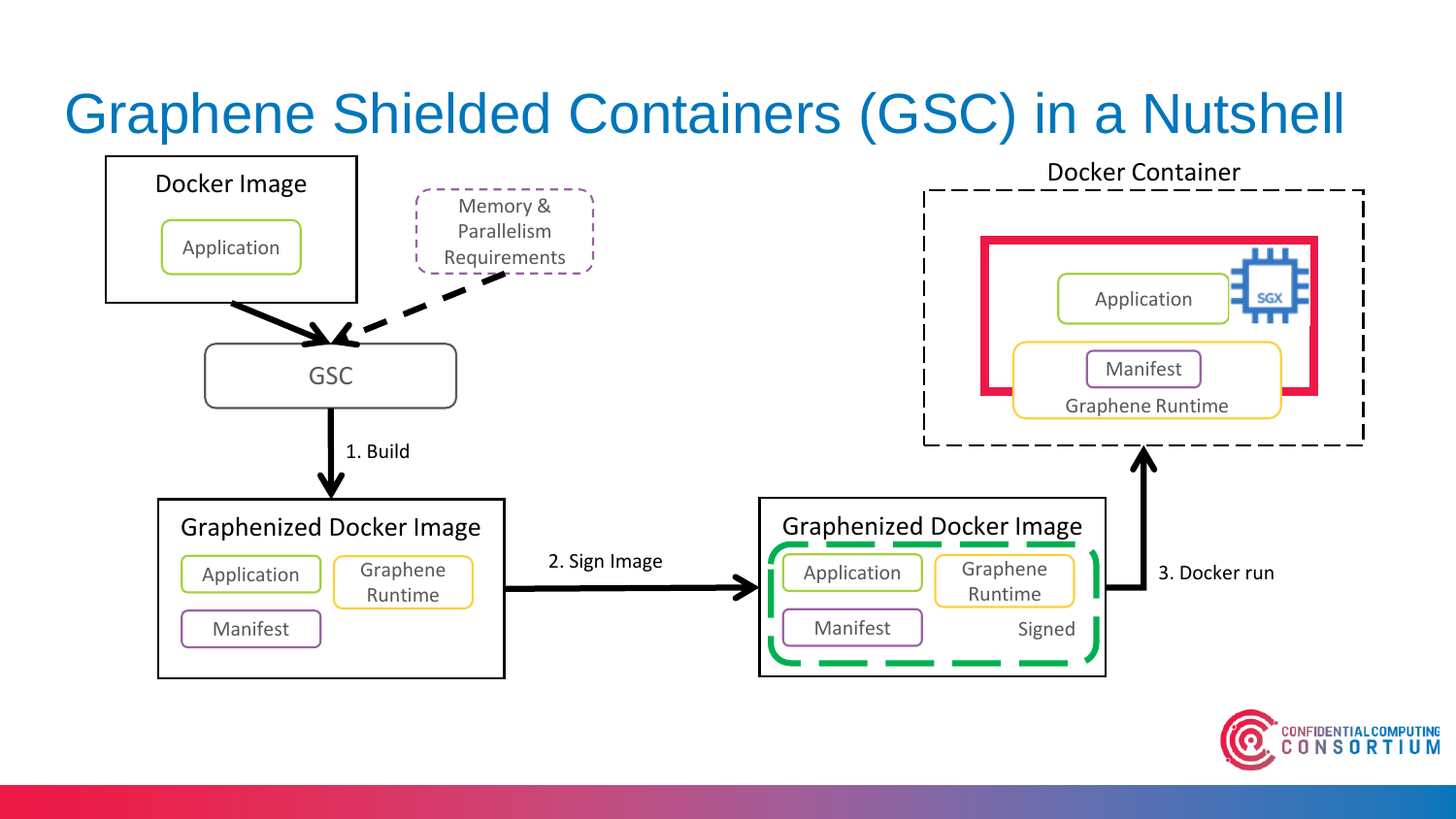#### Graphene Shielded Containers (GSC) in a Nutshell



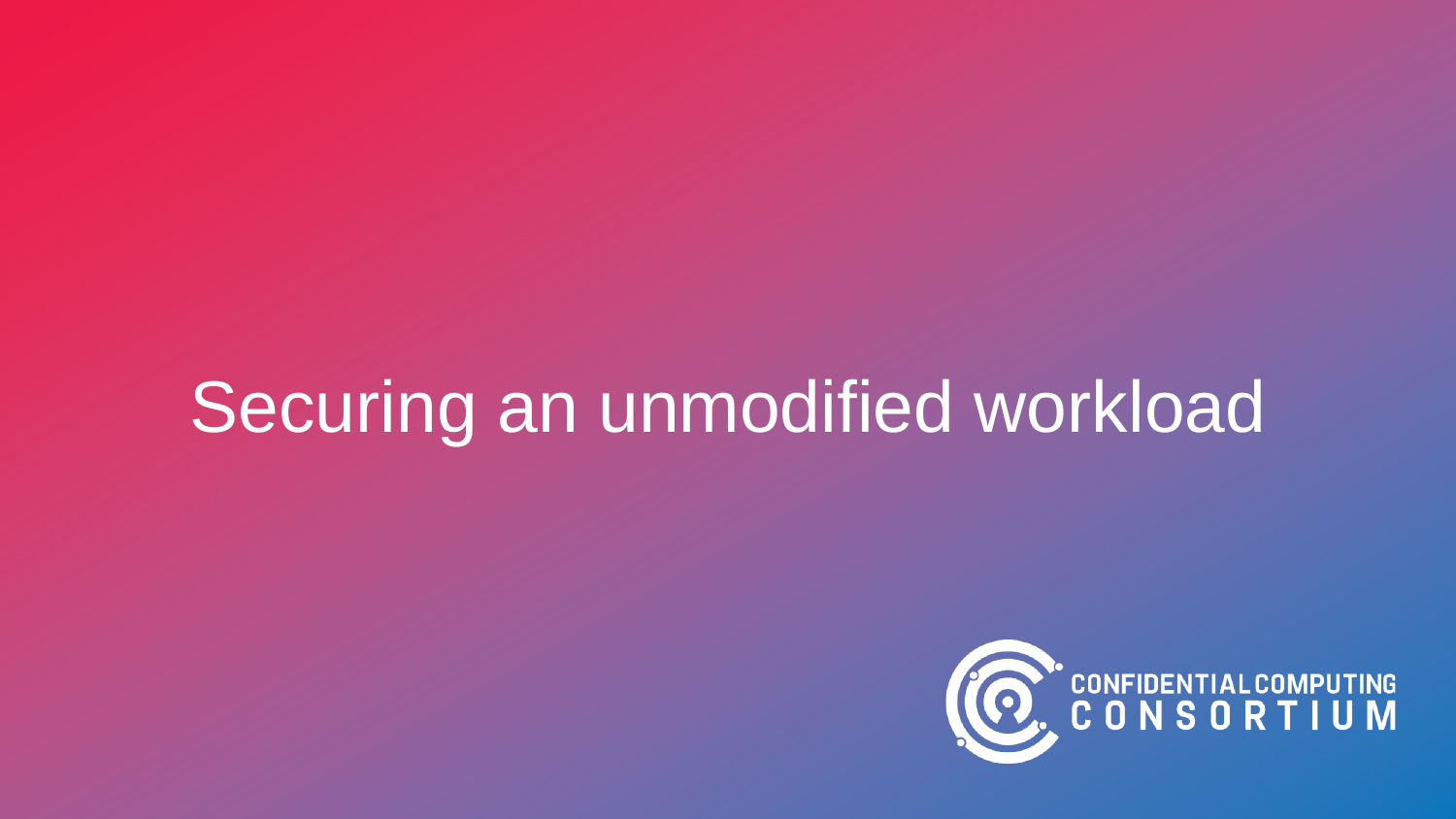# Securing an unmodified workload

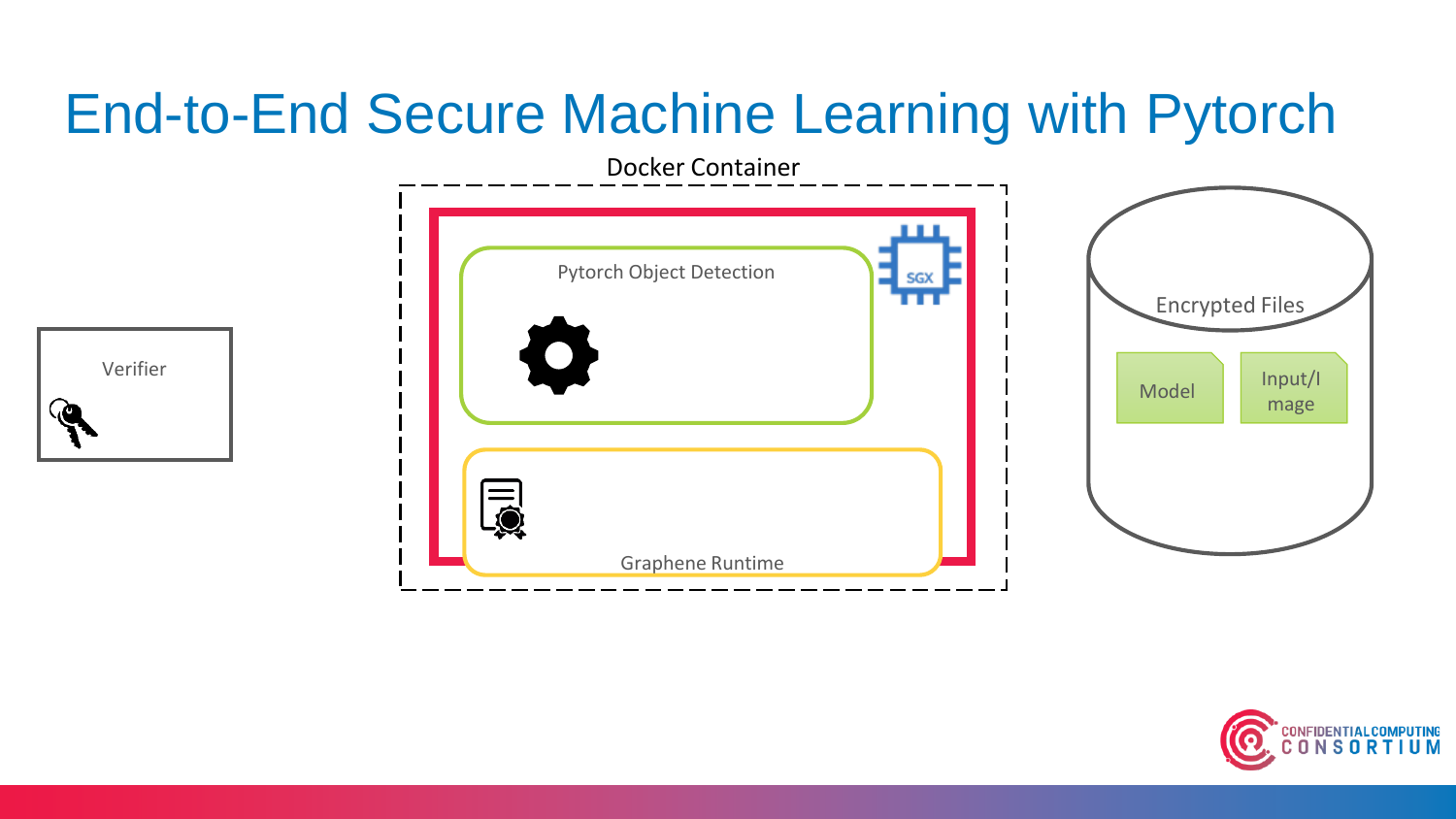#### End-to-End Secure Machine Learning with Pytorch



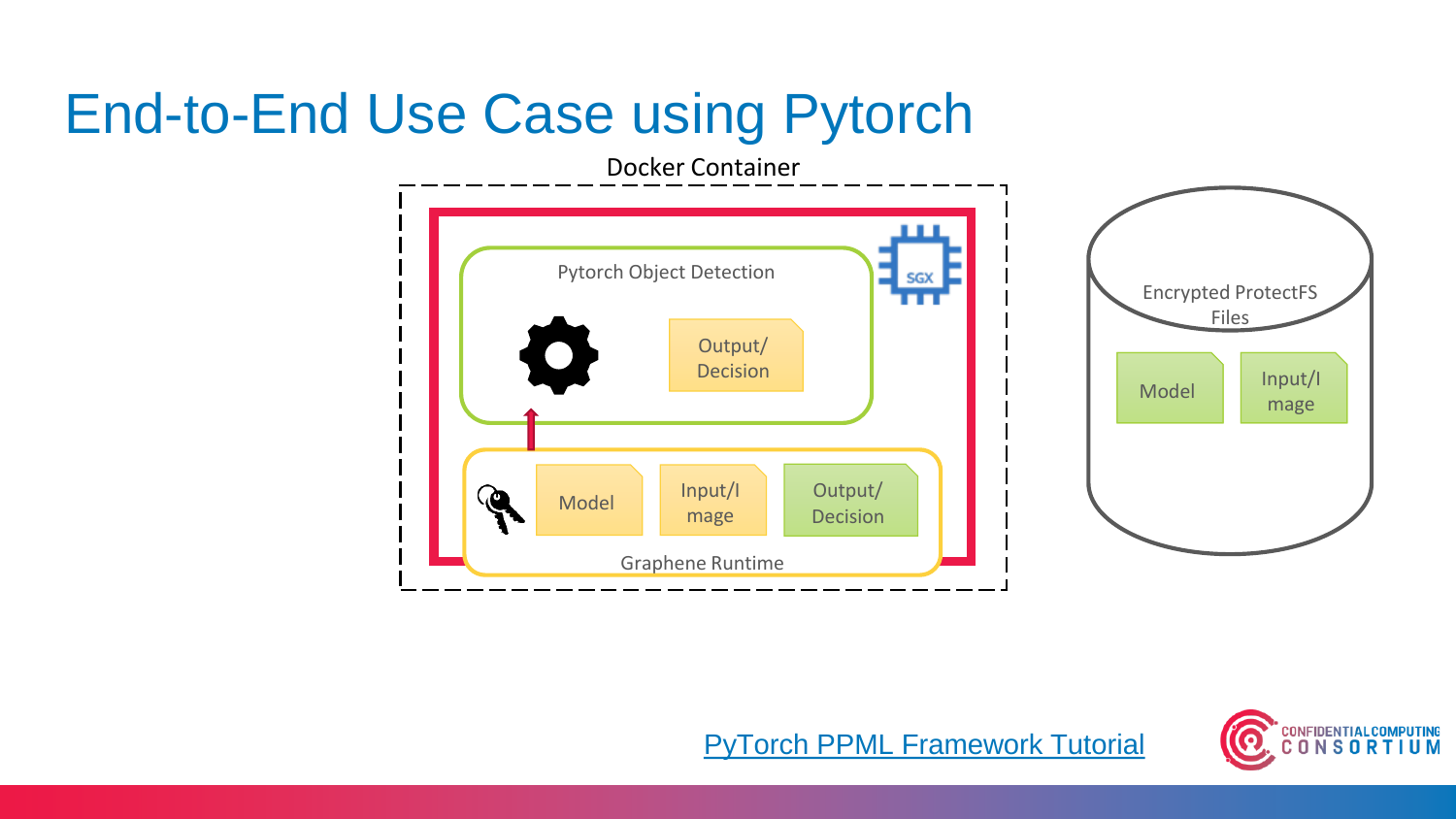#### End-to-End Use Case using Pytorch



#### [PyTorch PPML Framework Tutorial](https://graphene.readthedocs.io/en/latest/tutorials/pytorch/index.html)

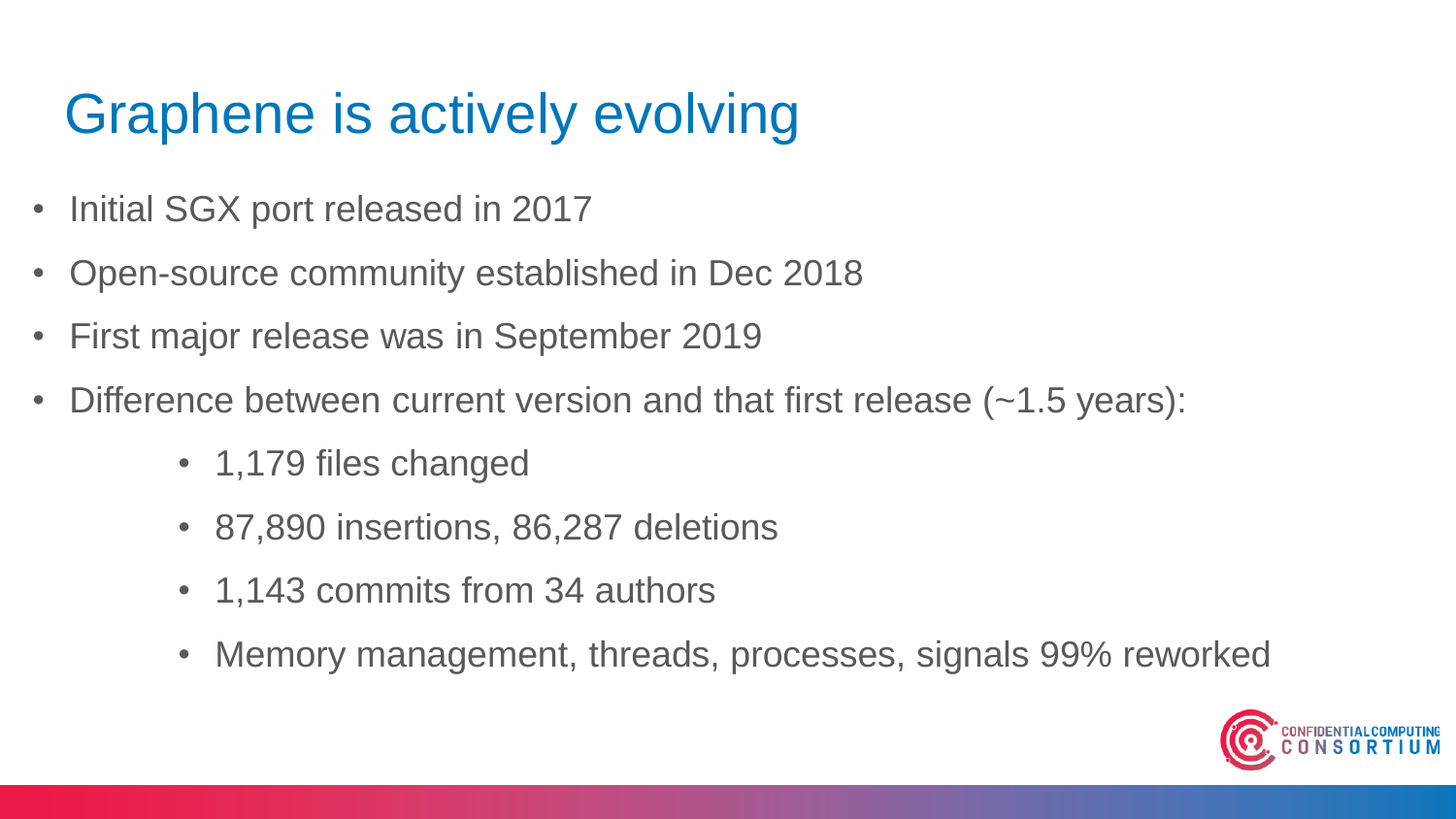### Graphene is actively evolving

- Initial SGX port released in 2017
- Open-source community established in Dec 2018
- First major release was in September 2019
- Difference between current version and that first release (~1.5 years):
	- 1,179 files changed
	- 87,890 insertions, 86,287 deletions
	- 1,143 commits from 34 authors
	- Memory management, threads, processes, signals 99% reworked

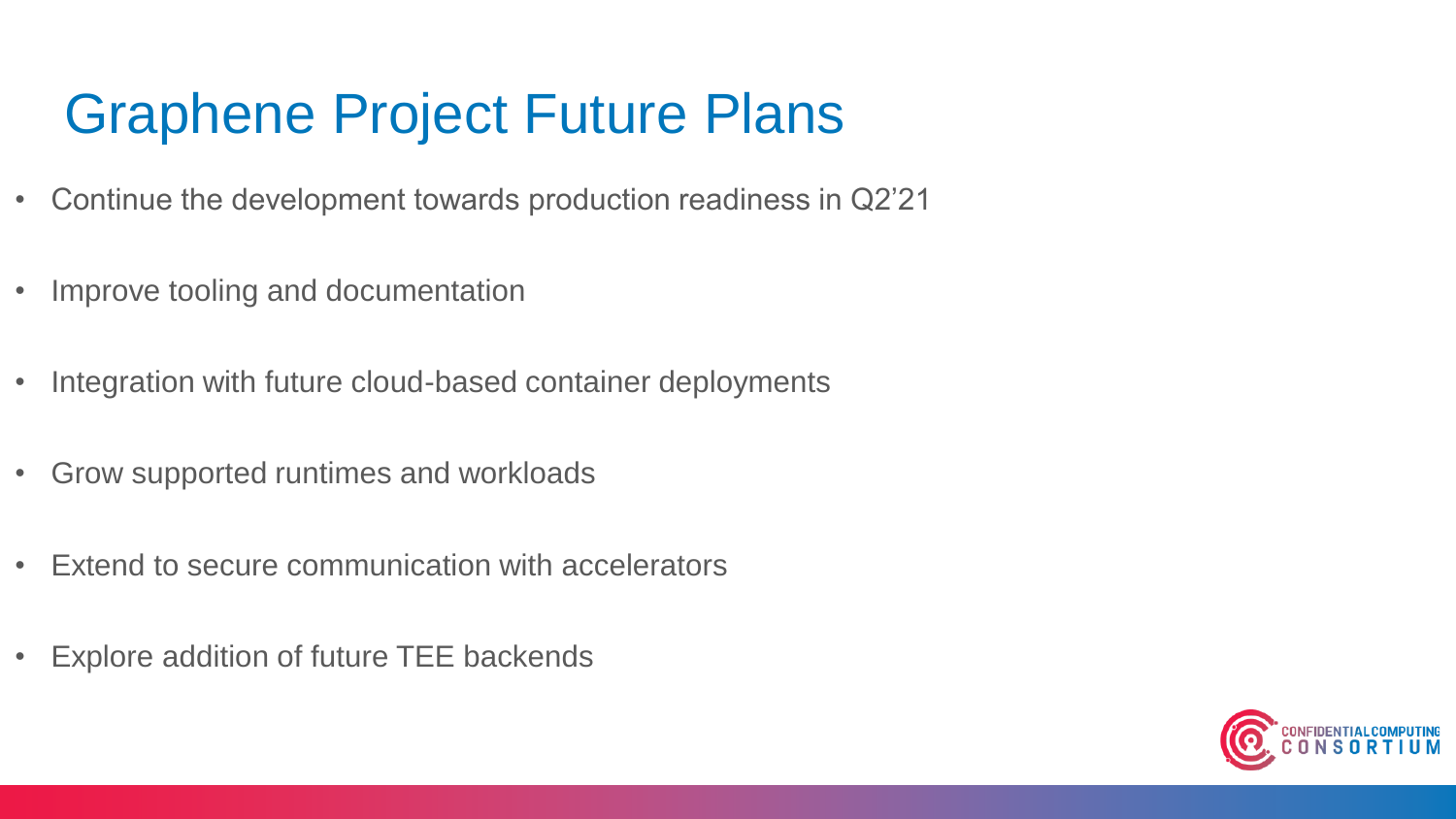#### Graphene Project Future Plans

- Continue the development towards production readiness in Q2'21
- Improve tooling and documentation
- Integration with future cloud-based container deployments
- Grow supported runtimes and workloads
- Extend to secure communication with accelerators
- Explore addition of future TEE backends

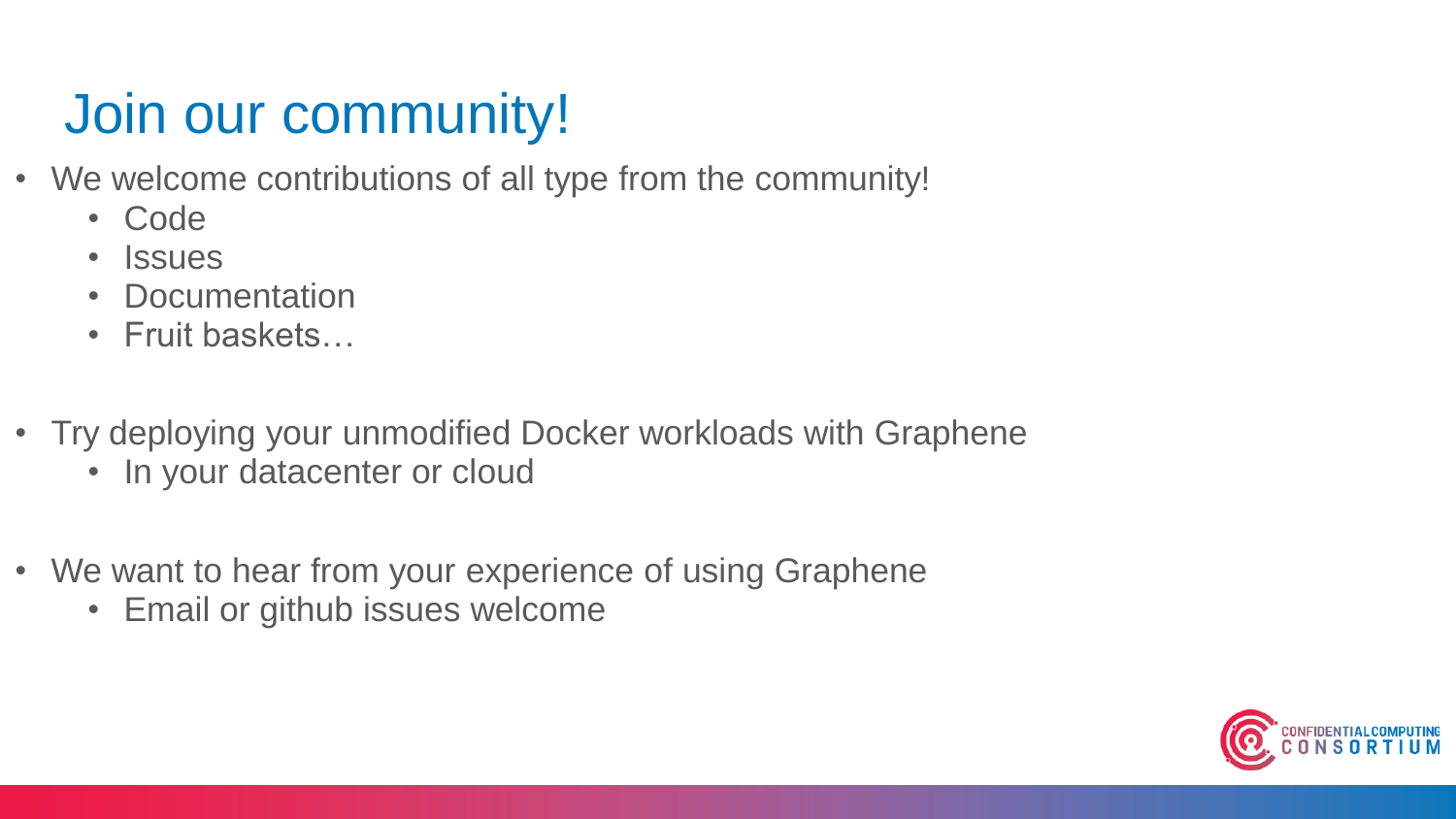## Join our community!

- We welcome contributions of all type from the community!
	- Code
	- Issues
	- Documentation
	- Fruit baskets…
- Try deploying your unmodified Docker workloads with Graphene
	- In your datacenter or cloud
- We want to hear from your experience of using Graphene
	- Email or github issues welcome

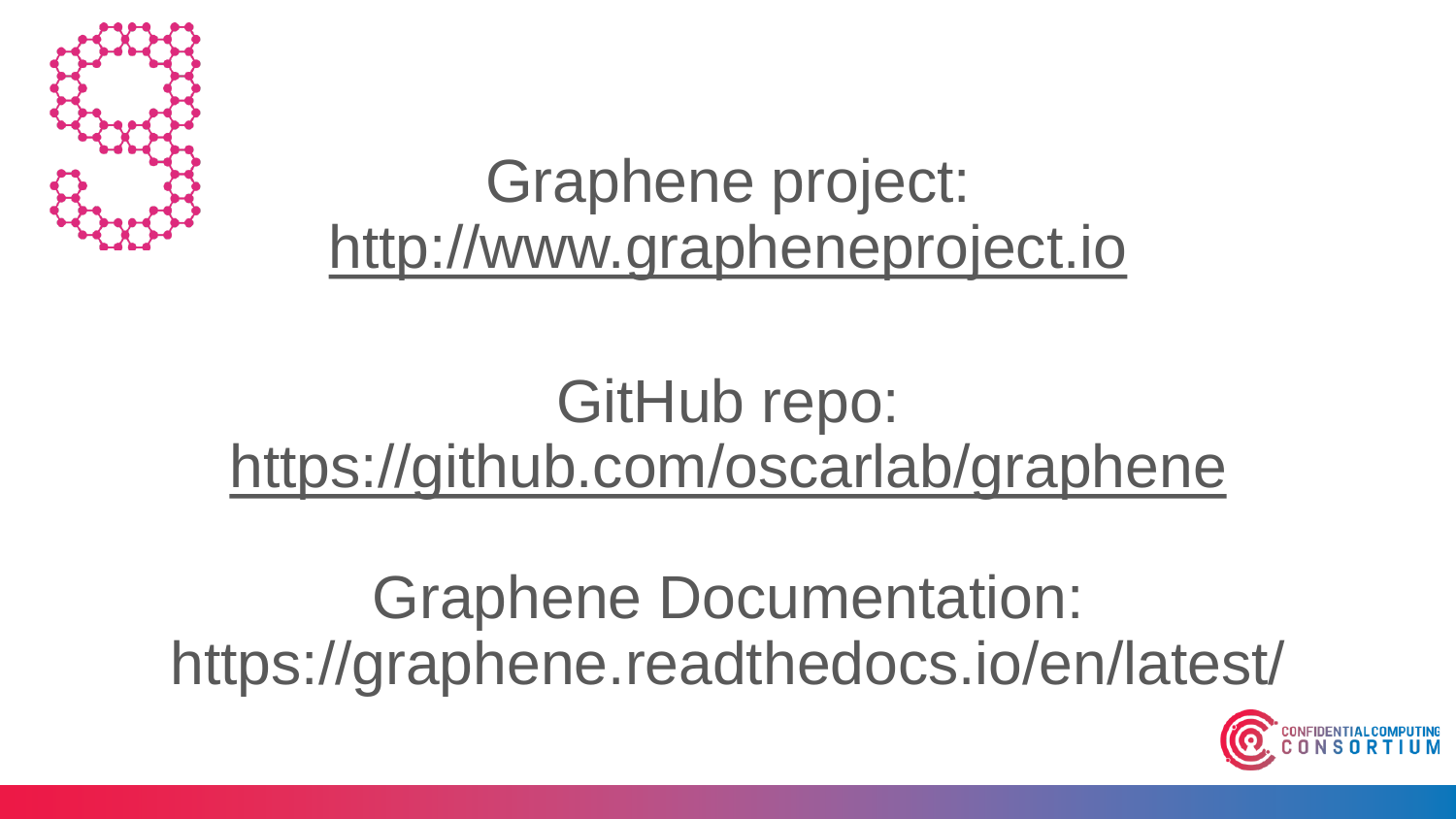

## Graphene project: [http://www.grapheneproject.io](http://www.grapheneproject.io/)

# GitHub repo: <https://github.com/oscarlab/graphene>

Graphene Documentation: https://graphene.readthedocs.io/en/latest/